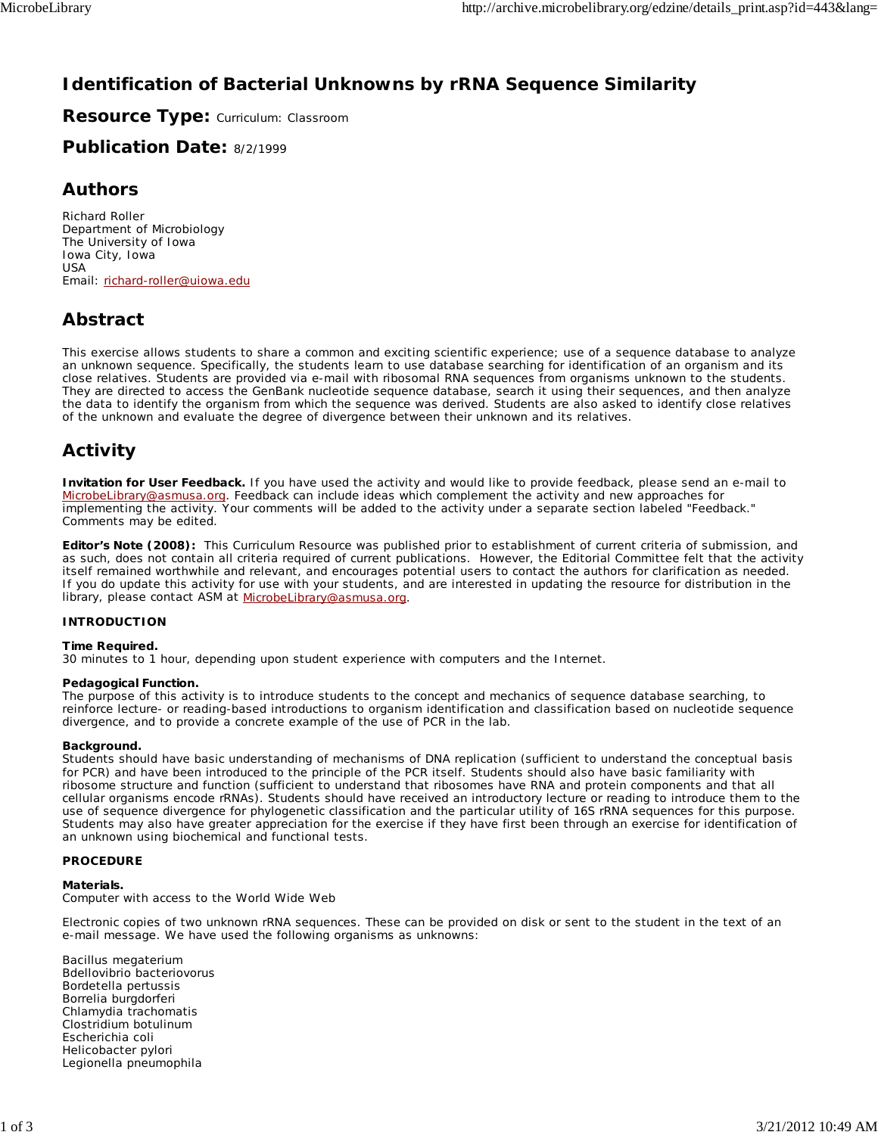# **Identification of Bacterial Unknowns by rRNA Sequence Similarity**

**Resource Type:** Curriculum: Classroom

**Publication Date:** 8/2/1999

### **Authors**

*Richard Roller* Department of Microbiology The University of Iowa Iowa City, Iowa USA Email: richard-roller@uiowa.edu

# **Abstract**

This exercise allows students to share a common and exciting scientific experience; use of a sequence database to analyze an unknown sequence. Specifically, the students learn to use database searching for identification of an organism and its close relatives. Students are provided via e-mail with ribosomal RNA sequences from organisms unknown to the students. They are directed to access the GenBank nucleotide sequence database, search it using their sequences, and then analyze the data to identify the organism from which the sequence was derived. Students are also asked to identify close relatives of the unknown and evaluate the degree of divergence between their unknown and its relatives.

# **Activity**

**Invitation for User Feedback.** If you have used the activity and would like to provide feedback, please send an e-mail to MicrobeLibrary@asmusa.org. Feedback can include ideas which complement the activity and new approaches for implementing the activity. Your comments will be added to the activity under a separate section labeled "Feedback." Comments may be edited.

**Editor's Note (2008):** This Curriculum Resource was published prior to establishment of current criteria of submission, and as such, does not contain all criteria required of current publications. However, the Editorial Committee felt that the activity itself remained worthwhile and relevant, and encourages potential users to contact the authors for clarification as needed. If you do update this activity for use with your students, and are interested in updating the resource for distribution in the library, please contact ASM at MicrobeLibrary@asmusa.org.

#### **INTRODUCTION**

#### **Time Required.**

30 minutes to 1 hour, depending upon student experience with computers and the Internet.

#### **Pedagogical Function.**

The purpose of this activity is to introduce students to the concept and mechanics of sequence database searching, to reinforce lecture- or reading-based introductions to organism identification and classification based on nucleotide sequence divergence, and to provide a concrete example of the use of PCR in the lab.

#### **Background.**

Students should have basic understanding of mechanisms of DNA replication (sufficient to understand the conceptual basis for PCR) and have been introduced to the principle of the PCR itself. Students should also have basic familiarity with ribosome structure and function (sufficient to understand that ribosomes have RNA and protein components and that all cellular organisms encode rRNAs). Students should have received an introductory lecture or reading to introduce them to the use of sequence divergence for phylogenetic classification and the particular utility of 16S rRNA sequences for this purpose. Students may also have greater appreciation for the exercise if they have first been through an exercise for identification of an unknown using biochemical and functional tests.

#### **PROCEDURE**

#### **Materials.**

Computer with access to the World Wide Web

Electronic copies of two unknown rRNA sequences. These can be provided on disk or sent to the student in the text of an e-mail message. We have used the following organisms as unknowns:

*Bacillus megaterium Bdellovibrio bacteriovorus Bordetella pertussis Borrelia burgdorferi Chlamydia trachomatis Clostridium botulinum Escherichia coli Helicobacter pylori Legionella pneumophila*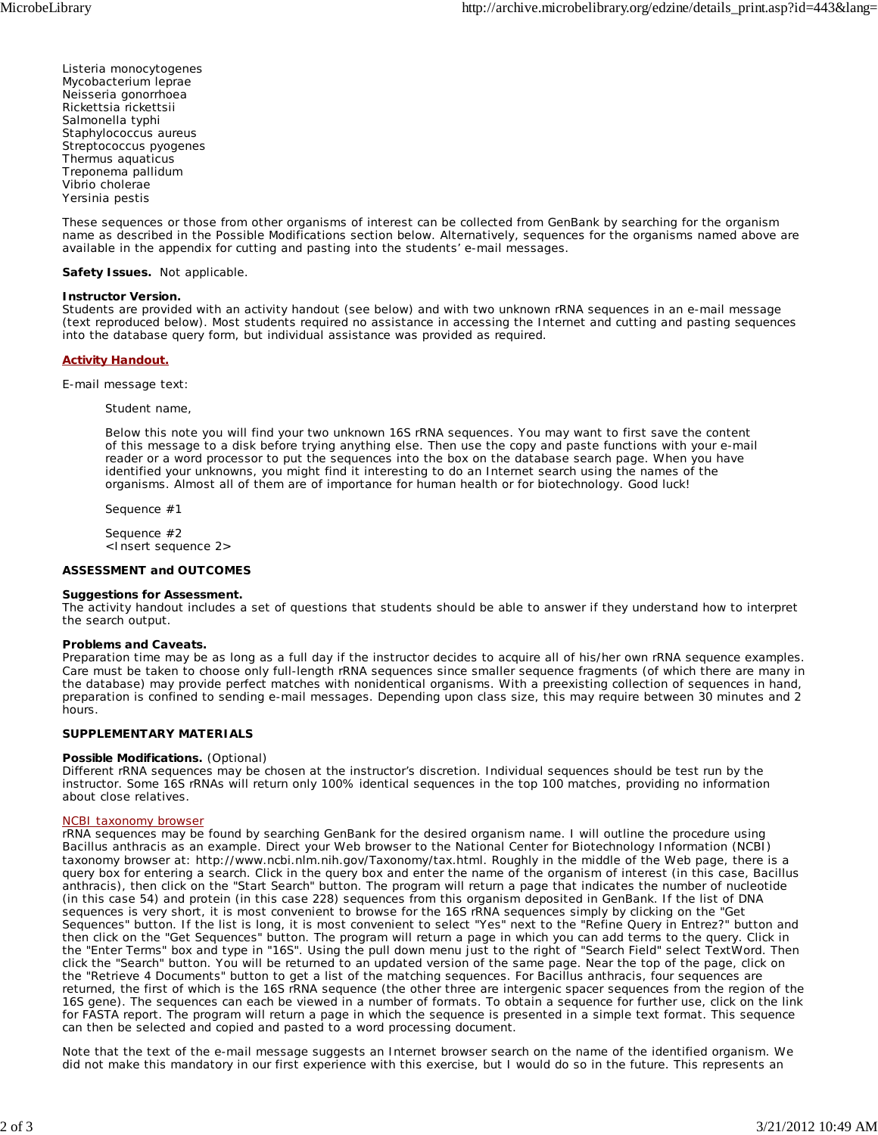*Listeria monocytogenes Mycobacterium leprae Neisseria gonorrhoea Rickettsia rickettsii Salmonella typhi Staphylococcus aureus Streptococcus pyogenes Thermus aquaticus Treponema pallidum Vibrio cholerae Yersinia pestis*

These sequences or those from other organisms of interest can be collected from GenBank by searching for the organism name as described in the Possible Modifications section below. Alternatively, sequences for the organisms named above are available in the appendix for cutting and pasting into the students' e-mail messages.

**Safety Issues.** Not applicable.

#### **Instructor Version.**

Students are provided with an activity handout (see below) and with two unknown rRNA sequences in an e-mail message (text reproduced below). Most students required no assistance in accessing the Internet and cutting and pasting sequences into the database query form, but individual assistance was provided as required.

#### **Activity Handout.**

E-mail message text:

*Student name*,

Below this note you will find your two unknown 16S rRNA sequences. You may want to first save the content of this message to a disk before trying anything else. Then use the copy and paste functions with your e-mail reader or a word processor to put the sequences into the box on the database search page. When you have identified your unknowns, you might find it interesting to do an Internet search using the names of the organisms. Almost all of them are of importance for human health or for biotechnology. Good luck!

Sequence #1

Sequence #2 <*Insert sequence 2>*

#### **ASSESSMENT and OUTCOMES**

#### **Suggestions for Assessment.**

The activity handout includes a set of questions that students should be able to answer if they understand how to interpret the search output.

#### **Problems and Caveats.**

Preparation time may be as long as a full day if the instructor decides to acquire all of his/her own rRNA sequence examples. Care must be taken to choose only full-length rRNA sequences since smaller sequence fragments (of which there are many in the database) may provide perfect matches with nonidentical organisms. With a preexisting collection of sequences in hand, preparation is confined to sending e-mail messages. Depending upon class size, this may require between 30 minutes and 2 hours.

#### **SUPPLEMENTARY MATERIALS**

#### **Possible Modifications.** (Optional)

Different rRNA sequences may be chosen at the instructor's discretion. Individual sequences should be test run by the instructor. Some 16S rRNAs will return only 100% identical sequences in the top 100 matches, providing no information about close relatives.

#### NCBI taxonomy browser

rRNA sequences may be found by searching GenBank for the desired organism name. I will outline the procedure using *Bacillus anthracis* as an example. Direct your Web browser to the National Center for Biotechnology Information (NCBI) taxonomy browser at: http://www.ncbi.nlm.nih.gov/Taxonomy/tax.html. Roughly in the middle of the Web page, there is a query box for entering a search. Click in the query box and enter the name of the organism of interest (in this case, *Bacillus anthracis*), then click on the "Start Search" button. The program will return a page that indicates the number of nucleotide (in this case 54) and protein (in this case 228) sequences from this organism deposited in GenBank. If the list of DNA sequences is very short, it is most convenient to browse for the 16S rRNA sequences simply by clicking on the "Get Sequences" button. If the list is long, it is most convenient to select "Yes" next to the "Refine Query in Entrez?" button and then click on the "Get Sequences" button. The program will return a page in which you can add terms to the query. Click in the "Enter Terms" box and type in "16S". Using the pull down menu just to the right of "Search Field" select TextWord. Then click the "Search" button. You will be returned to an updated version of the same page. Near the top of the page, click on the "Retrieve 4 Documents" button to get a list of the matching sequences. For *Bacillus anthracis*, four sequences are returned, the first of which is the 16S rRNA sequence (the other three are intergenic spacer sequences from the region of the 16S gene). The sequences can each be viewed in a number of formats. To obtain a sequence for further use, click on the link for FASTA report. The program will return a page in which the sequence is presented in a simple text format. This sequence can then be selected and copied and pasted to a word processing document.

Note that the text of the e-mail message suggests an Internet browser search on the name of the identified organism. We did not make this mandatory in our first experience with this exercise, but I would do so in the future. This represents an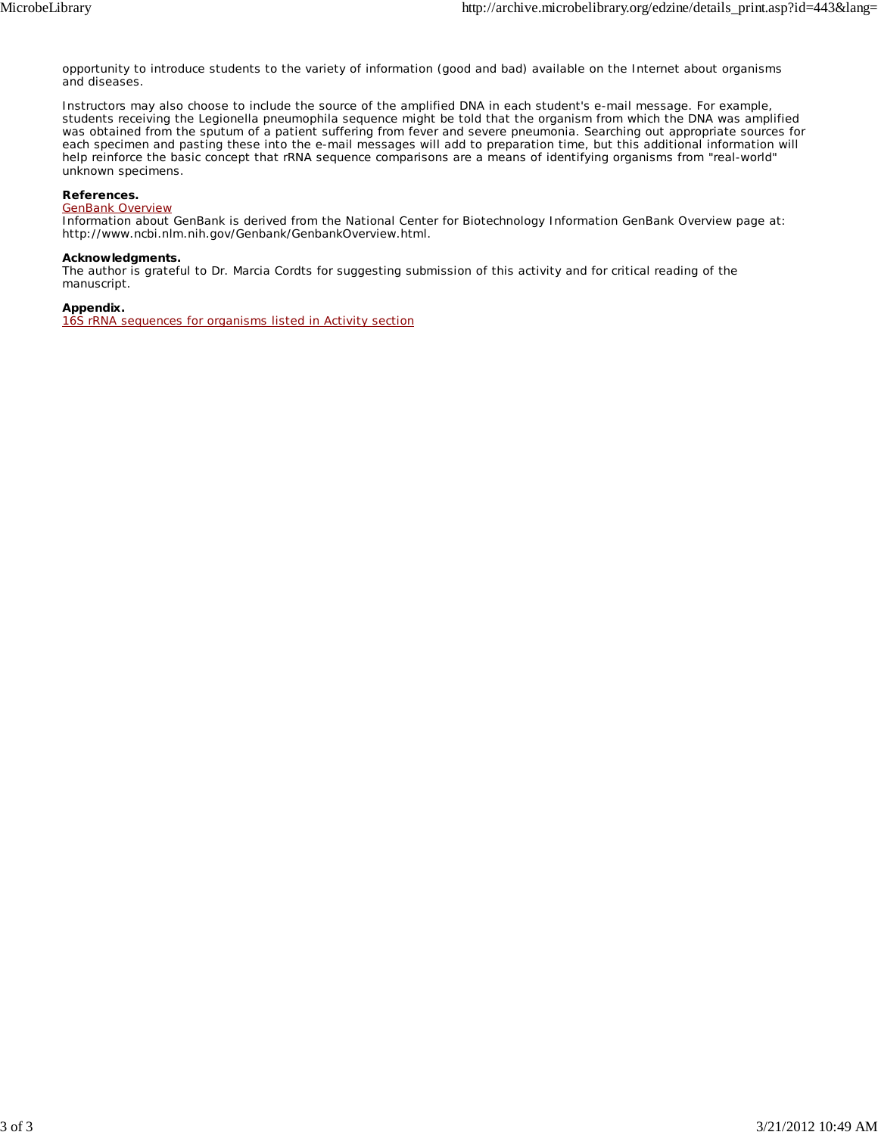opportunity to introduce students to the variety of information (good and bad) available on the Internet about organisms and diseases.

Instructors may also choose to include the source of the amplified DNA in each student's e-mail message. For example, students receiving the *Legionella pneumophila* sequence might be told that the organism from which the DNA was amplified was obtained from the sputum of a patient suffering from fever and severe pneumonia. Searching out appropriate sources for each specimen and pasting these into the e-mail messages will add to preparation time, but this additional information will help reinforce the basic concept that rRNA sequence comparisons are a means of identifying organisms from "real-world" unknown specimens.

#### **References.**

#### GenBank Overview

Information about GenBank is derived from the National Center for Biotechnology Information GenBank Overview page at: http://www.ncbi.nlm.nih.gov/Genbank/GenbankOverview.html.

#### **Acknowledgments.**

The author is grateful to Dr. Marcia Cordts for suggesting submission of this activity and for critical reading of the manuscript.

#### **Appendix.**

16S rRNA sequences for organisms listed in Activity section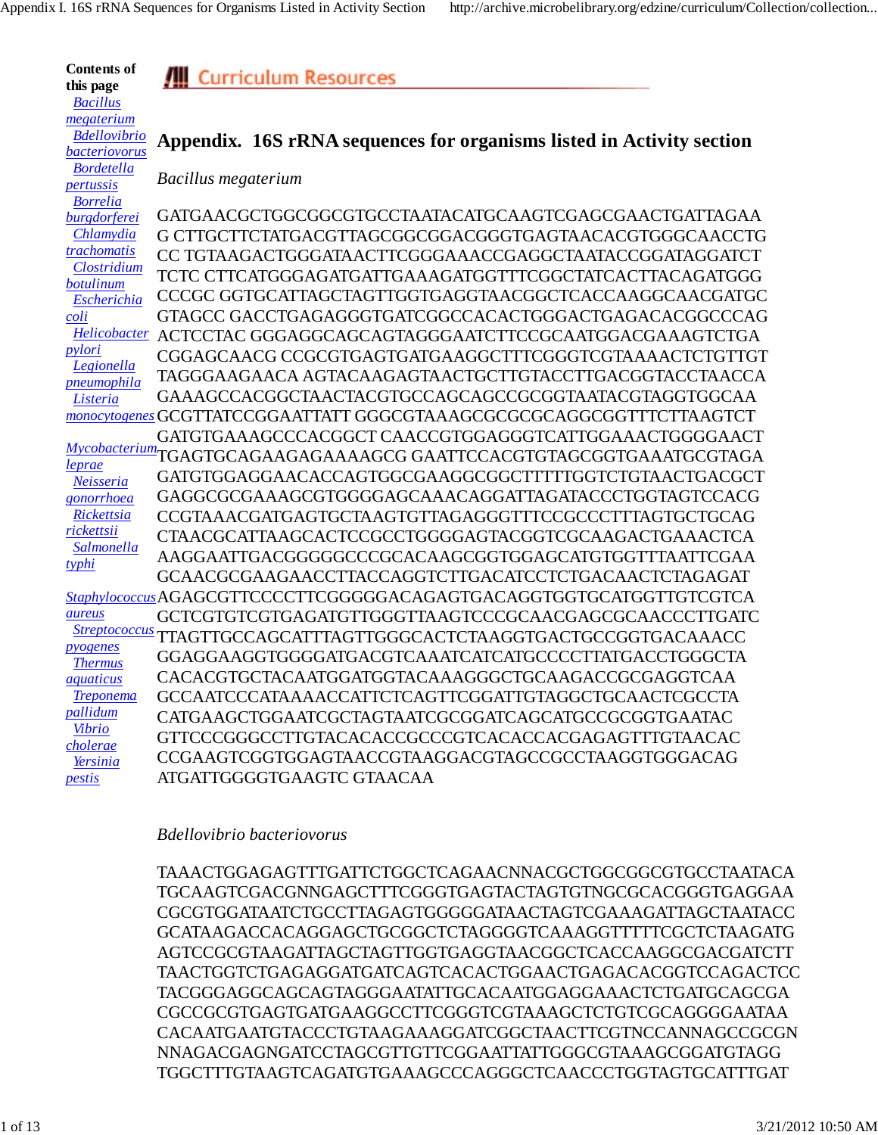**Contents of this page**  *Bacillus megaterium*

*pertussis*

**All Curriculum Resources** 

#### *Bdellovibrio bacteriovorus* **Appendix. 16S rRNA sequences for organisms listed in Activity section**

 *Bordetella Bacillus megaterium*

 *Borrelia burgdorferei Chlamydia trachomatis Clostridium botulinum Escherichia coli Helicobacter* ACTCCTAC GGGAGGCAGCAGTAGGGAATCTTCCGCAATGGACGAAAGTCTGA *pylori Legionella pneumophila Listeria monocytogenes* GCGTTATCCGGAATTATT GGGCGTAAAGCGCGCGCAGGCGGTTTCTTAAGTCT *Mycobacterium* TGAGTGCAGAAGAGAAAAGCG GAATTCCACGTGTAGCGGTGAAATGCGTAGA *leprae Neisseria gonorrhoea Rickettsia rickettsii Salmonella typhi Staphylococcus* AGAGCGTTCCCCTTCGGGGGACAGAGTGACAGGTGGTGCATGGTTGTCGTCA *aureus Streptococcus* TTAGTTGCCAGCATTTAGTTGGGCACTCTAAGGTGACTGCCGGTGACAAACC *pyogenes Thermus aquaticus Treponema pallidum Vibrio cholerae Yersinia pestis* GATGAACGCTGGCGGCGTGCCTAATACATGCAAGTCGAGCGAACTGATTAGAA G CTTGCTTCTATGACGTTAGCGGCGGACGGGTGAGTAACACGTGGGCAACCTG CC TGTAAGACTGGGATAACTTCGGGAAACCGAGGCTAATACCGGATAGGATCT TCTC CTTCATGGGAGATGATTGAAAGATGGTTTCGGCTATCACTTACAGATGGG CCCGC GGTGCATTAGCTAGTTGGTGAGGTAACGGCTCACCAAGGCAACGATGC GTAGCC GACCTGAGAGGGTGATCGGCCACACTGGGACTGAGACACGGCCCAG CGGAGCAACG CCGCGTGAGTGATGAAGGCTTTCGGGTCGTAAAACTCTGTTGT TAGGGAAGAACA AGTACAAGAGTAACTGCTTGTACCTTGACGGTACCTAACCA GAAAGCCACGGCTAACTACGTGCCAGCAGCCGCGGTAATACGTAGGTGGCAA GATGTGAAAGCCCACGGCT CAACCGTGGAGGGTCATTGGAAACTGGGGAACT GATGTGGAGGAACACCAGTGGCGAAGGCGGCTTTTTGGTCTGTAACTGACGCT GAGGCGCGAAAGCGTGGGGAGCAAACAGGATTAGATACCCTGGTAGTCCACG CCGTAAACGATGAGTGCTAAGTGTTAGAGGGTTTCCGCCCTTTAGTGCTGCAG CTAACGCATTAAGCACTCCGCCTGGGGAGTACGGTCGCAAGACTGAAACTCA AAGGAATTGACGGGGGCCCGCACAAGCGGTGGAGCATGTGGTTTAATTCGAA GCAACGCGAAGAACCTTACCAGGTCTTGACATCCTCTGACAACTCTAGAGAT GCTCGTGTCGTGAGATGTTGGGTTAAGTCCCGCAACGAGCGCAACCCTTGATC GGAGGAAGGTGGGGATGACGTCAAATCATCATGCCCCTTATGACCTGGGCTA CACACGTGCTACAATGGATGGTACAAAGGGCTGCAAGACCGCGAGGTCAA GCCAATCCCATAAAACCATTCTCAGTTCGGATTGTAGGCTGCAACTCGCCTA CATGAAGCTGGAATCGCTAGTAATCGCGGATCAGCATGCCGCGGTGAATAC GTTCCCGGGCCTTGTACACACCGCCCGTCACACCACGAGAGTTTGTAACAC CCGAAGTCGGTGGAGTAACCGTAAGGACGTAGCCGCCTAAGGTGGGACAG ATGATTGGGGTGAAGTC GTAACAA

#### *Bdellovibrio bacteriovorus*

TAAACTGGAGAGTTTGATTCTGGCTCAGAACNNACGCTGGCGGCGTGCCTAATACA TGCAAGTCGACGNNGAGCTTTCGGGTGAGTACTAGTGTNGCGCACGGGTGAGGAA CGCGTGGATAATCTGCCTTAGAGTGGGGGATAACTAGTCGAAAGATTAGCTAATACC GCATAAGACCACAGGAGCTGCGGCTCTAGGGGTCAAAGGTTTTTCGCTCTAAGATG AGTCCGCGTAAGATTAGCTAGTTGGTGAGGTAACGGCTCACCAAGGCGACGATCTT TAACTGGTCTGAGAGGATGATCAGTCACACTGGAACTGAGACACGGTCCAGACTCC TACGGGAGGCAGCAGTAGGGAATATTGCACAATGGAGGAAACTCTGATGCAGCGA CGCCGCGTGAGTGATGAAGGCCTTCGGGTCGTAAAGCTCTGTCGCAGGGGAATAA CACAATGAATGTACCCTGTAAGAAAGGATCGGCTAACTTCGTNCCANNAGCCGCGN NNAGACGAGNGATCCTAGCGTTGTTCGGAATTATTGGGCGTAAAGCGGATGTAGG TGGCTTTGTAAGTCAGATGTGAAAGCCCAGGGCTCAACCCTGGTAGTGCATTTGAT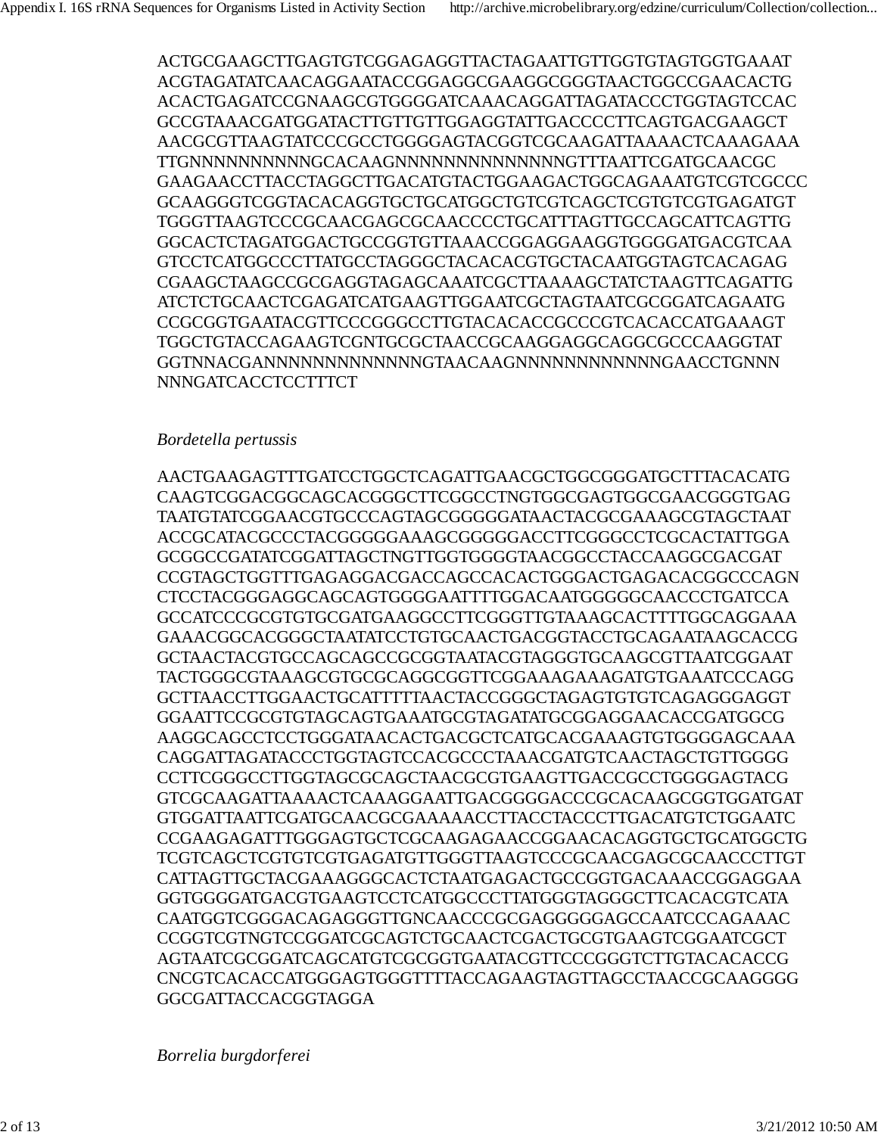ACTGCGAAGCTTGAGTGTCGGAGAGGTTACTAGAATTGTTGGTGTAGTGGTGAAAT ACGTAGATATCAACAGGAATACCGGAGGCGAAGGCGGGTAACTGGCCGAACACTG ACACTGAGATCCGNAAGCGTGGGGATCAAACAGGATTAGATACCCTGGTAGTCCAC GCCGTAAACGATGGATACTTGTTGTTGGAGGTATTGACCCCTTCAGTGACGAAGCT AACGCGTTAAGTATCCCGCCTGGGGAGTACGGTCGCAAGATTAAAACTCAAAGAAA TTGNNNNNNNNNNGCACAAGNNNNNNNNNNNNNNGTTTAATTCGATGCAACGC GAAGAACCTTACCTAGGCTTGACATGTACTGGAAGACTGGCAGAAATGTCGTCGCCC GCAAGGGTCGGTACACAGGTGCTGCATGGCTGTCGTCAGCTCGTGTCGTGAGATGT TGGGTTAAGTCCCGCAACGAGCGCAACCCCTGCATTTAGTTGCCAGCATTCAGTTG GGCACTCTAGATGGACTGCCGGTGTTAAACCGGAGGAAGGTGGGGATGACGTCAA GTCCTCATGGCCCTTATGCCTAGGGCTACACACGTGCTACAATGGTAGTCACAGAG CGAAGCTAAGCCGCGAGGTAGAGCAAATCGCTTAAAAGCTATCTAAGTTCAGATTG ATCTCTGCAACTCGAGATCATGAAGTTGGAATCGCTAGTAATCGCGGATCAGAATG CCGCGGTGAATACGTTCCCGGGCCTTGTACACACCGCCCGTCACACCATGAAAGT TGGCTGTACCAGAAGTCGNTGCGCTAACCGCAAGGAGGCAGGCGCCCAAGGTAT GGTNNACGANNNNNNNNNNNNNGTAACAAGNNNNNNNNNNNNGAACCTGNNN NNNGATCACCTCCTTTCT

### *Bordetella pertussis*

AACTGAAGAGTTTGATCCTGGCTCAGATTGAACGCTGGCGGGATGCTTTACACATG CAAGTCGGACGGCAGCACGGGCTTCGGCCTNGTGGCGAGTGGCGAACGGGTGAG TAATGTATCGGAACGTGCCCAGTAGCGGGGGATAACTACGCGAAAGCGTAGCTAAT ACCGCATACGCCCTACGGGGGAAAGCGGGGGACCTTCGGGCCTCGCACTATTGGA GCGGCCGATATCGGATTAGCTNGTTGGTGGGGTAACGGCCTACCAAGGCGACGAT CCGTAGCTGGTTTGAGAGGACGACCAGCCACACTGGGACTGAGACACGGCCCAGN CTCCTACGGGAGGCAGCAGTGGGGAATTTTGGACAATGGGGGCAACCCTGATCCA GCCATCCCGCGTGTGCGATGAAGGCCTTCGGGTTGTAAAGCACTTTTGGCAGGAAA GAAACGGCACGGGCTAATATCCTGTGCAACTGACGGTACCTGCAGAATAAGCACCG GCTAACTACGTGCCAGCAGCCGCGGTAATACGTAGGGTGCAAGCGTTAATCGGAAT TACTGGGCGTAAAGCGTGCGCAGGCGGTTCGGAAAGAAAGATGTGAAATCCCAGG GCTTAACCTTGGAACTGCATTTTTAACTACCGGGCTAGAGTGTGTCAGAGGGAGGT GGAATTCCGCGTGTAGCAGTGAAATGCGTAGATATGCGGAGGAACACCGATGGCG AAGGCAGCCTCCTGGGATAACACTGACGCTCATGCACGAAAGTGTGGGGAGCAAA CAGGATTAGATACCCTGGTAGTCCACGCCCTAAACGATGTCAACTAGCTGTTGGGG CCTTCGGGCCTTGGTAGCGCAGCTAACGCGTGAAGTTGACCGCCTGGGGAGTACG GTCGCAAGATTAAAACTCAAAGGAATTGACGGGGACCCGCACAAGCGGTGGATGAT GTGGATTAATTCGATGCAACGCGAAAAACCTTACCTACCCTTGACATGTCTGGAATC CCGAAGAGATTTGGGAGTGCTCGCAAGAGAACCGGAACACAGGTGCTGCATGGCTG TCGTCAGCTCGTGTCGTGAGATGTTGGGTTAAGTCCCGCAACGAGCGCAACCCTTGT CATTAGTTGCTACGAAAGGGCACTCTAATGAGACTGCCGGTGACAAACCGGAGGAA GGTGGGGATGACGTGAAGTCCTCATGGCCCTTATGGGTAGGGCTTCACACGTCATA CAATGGTCGGGACAGAGGGTTGNCAACCCGCGAGGGGGAGCCAATCCCAGAAAC CCGGTCGTNGTCCGGATCGCAGTCTGCAACTCGACTGCGTGAAGTCGGAATCGCT AGTAATCGCGGATCAGCATGTCGCGGTGAATACGTTCCCGGGTCTTGTACACACCG CNCGTCACACCATGGGAGTGGGTTTTACCAGAAGTAGTTAGCCTAACCGCAAGGGG GGCGATTACCACGGTAGGA

*Borrelia burgdorferei*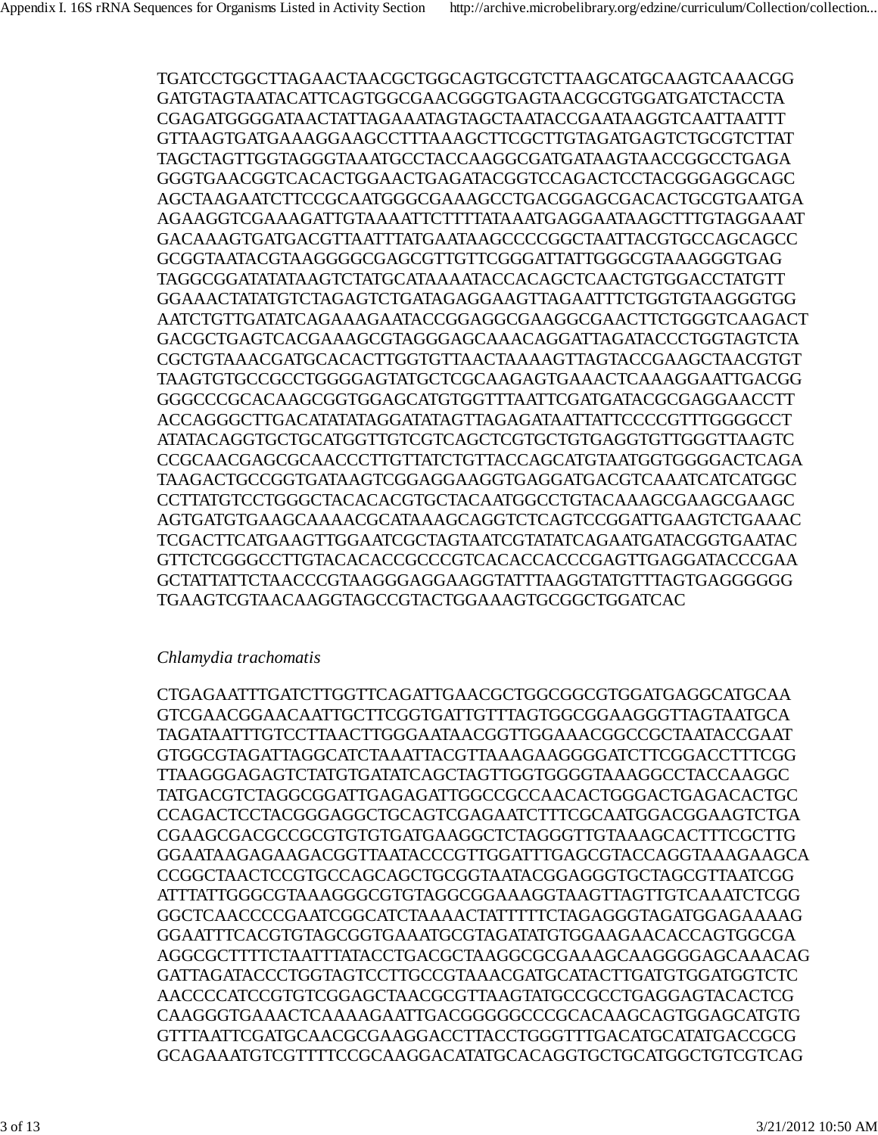TGATCCTGGCTTAGAACTAACGCTGGCAGTGCGTCTTAAGCATGCAAGTCAAACGG GATGTAGTAATACATTCAGTGGCGAACGGGTGAGTAACGCGTGGATGATCTACCTA CGAGATGGGGATAACTATTAGAAATAGTAGCTAATACCGAATAAGGTCAATTAATTT GTTAAGTGATGAAAGGAAGCCTTTAAAGCTTCGCTTGTAGATGAGTCTGCGTCTTAT TAGCTAGTTGGTAGGGTAAATGCCTACCAAGGCGATGATAAGTAACCGGCCTGAGA GGGTGAACGGTCACACTGGAACTGAGATACGGTCCAGACTCCTACGGGAGGCAGC AGCTAAGAATCTTCCGCAATGGGCGAAAGCCTGACGGAGCGACACTGCGTGAATGA AGAAGGTCGAAAGATTGTAAAATTCTTTTATAAATGAGGAATAAGCTTTGTAGGAAAT GACAAAGTGATGACGTTAATTTATGAATAAGCCCCGGCTAATTACGTGCCAGCAGCC GCGGTAATACGTAAGGGGCGAGCGTTGTTCGGGATTATTGGGCGTAAAGGGTGAG TAGGCGGATATATAAGTCTATGCATAAAATACCACAGCTCAACTGTGGACCTATGTT GGAAACTATATGTCTAGAGTCTGATAGAGGAAGTTAGAATTTCTGGTGTAAGGGTGG AATCTGTTGATATCAGAAAGAATACCGGAGGCGAAGGCGAACTTCTGGGTCAAGACT GACGCTGAGTCACGAAAGCGTAGGGAGCAAACAGGATTAGATACCCTGGTAGTCTA CGCTGTAAACGATGCACACTTGGTGTTAACTAAAAGTTAGTACCGAAGCTAACGTGT TAAGTGTGCCGCCTGGGGAGTATGCTCGCAAGAGTGAAACTCAAAGGAATTGACGG GGGCCCGCACAAGCGGTGGAGCATGTGGTTTAATTCGATGATACGCGAGGAACCTT ACCAGGGCTTGACATATATAGGATATAGTTAGAGATAATTATTCCCCGTTTGGGGCCT ATATACAGGTGCTGCATGGTTGTCGTCAGCTCGTGCTGTGAGGTGTTGGGTTAAGTC CCGCAACGAGCGCAACCCTTGTTATCTGTTACCAGCATGTAATGGTGGGGACTCAGA TAAGACTGCCGGTGATAAGTCGGAGGAAGGTGAGGATGACGTCAAATCATCATGGC CCTTATGTCCTGGGCTACACACGTGCTACAATGGCCTGTACAAAGCGAAGCGAAGC AGTGATGTGAAGCAAAACGCATAAAGCAGGTCTCAGTCCGGATTGAAGTCTGAAAC TCGACTTCATGAAGTTGGAATCGCTAGTAATCGTATATCAGAATGATACGGTGAATAC GTTCTCGGGCCTTGTACACACCGCCCGTCACACCACCCGAGTTGAGGATACCCGAA GCTATTATTCTAACCCGTAAGGGAGGAAGGTATTTAAGGTATGTTTAGTGAGGGGGG TGAAGTCGTAACAAGGTAGCCGTACTGGAAAGTGCGGCTGGATCAC

### *Chlamydia trachomatis*

CTGAGAATTTGATCTTGGTTCAGATTGAACGCTGGCGGCGTGGATGAGGCATGCAA GTCGAACGGAACAATTGCTTCGGTGATTGTTTAGTGGCGGAAGGGTTAGTAATGCA TAGATAATTTGTCCTTAACTTGGGAATAACGGTTGGAAACGGCCGCTAATACCGAAT GTGGCGTAGATTAGGCATCTAAATTACGTTAAAGAAGGGGATCTTCGGACCTTTCGG TTAAGGGAGAGTCTATGTGATATCAGCTAGTTGGTGGGGTAAAGGCCTACCAAGGC TATGACGTCTAGGCGGATTGAGAGATTGGCCGCCAACACTGGGACTGAGACACTGC CCAGACTCCTACGGGAGGCTGCAGTCGAGAATCTTTCGCAATGGACGGAAGTCTGA CGAAGCGACGCCGCGTGTGTGATGAAGGCTCTAGGGTTGTAAAGCACTTTCGCTTG GGAATAAGAGAAGACGGTTAATACCCGTTGGATTTGAGCGTACCAGGTAAAGAAGCA CCGGCTAACTCCGTGCCAGCAGCTGCGGTAATACGGAGGGTGCTAGCGTTAATCGG ATTTATTGGGCGTAAAGGGCGTGTAGGCGGAAAGGTAAGTTAGTTGTCAAATCTCGG GGCTCAACCCCGAATCGGCATCTAAAACTATTTTTCTAGAGGGTAGATGGAGAAAAG GGAATTTCACGTGTAGCGGTGAAATGCGTAGATATGTGGAAGAACACCAGTGGCGA AGGCGCTTTTCTAATTTATACCTGACGCTAAGGCGCGAAAGCAAGGGGAGCAAACAG GATTAGATACCCTGGTAGTCCTTGCCGTAAACGATGCATACTTGATGTGGATGGTCTC AACCCCATCCGTGTCGGAGCTAACGCGTTAAGTATGCCGCCTGAGGAGTACACTCG CAAGGGTGAAACTCAAAAGAATTGACGGGGGCCCGCACAAGCAGTGGAGCATGTG GTTTAATTCGATGCAACGCGAAGGACCTTACCTGGGTTTGACATGCATATGACCGCG GCAGAAATGTCGTTTTCCGCAAGGACATATGCACAGGTGCTGCATGGCTGTCGTCAG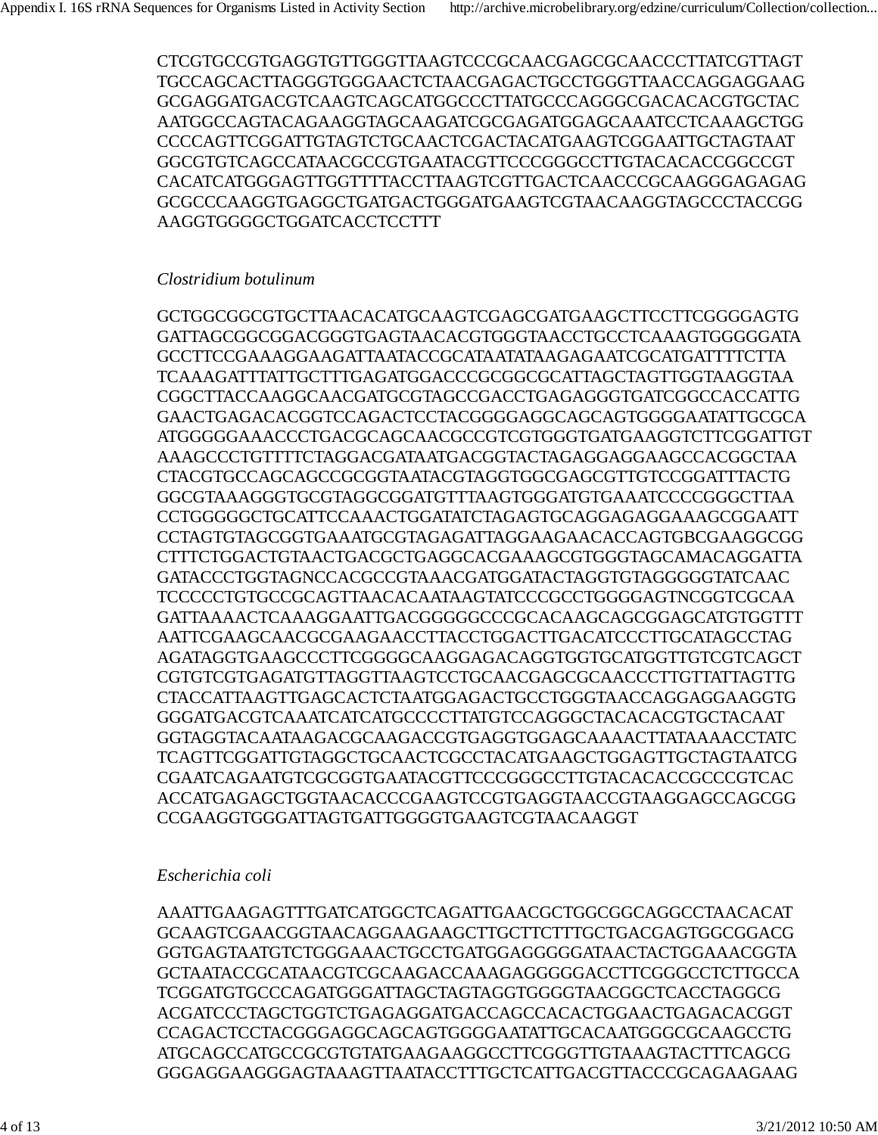CTCGTGCCGTGAGGTGTTGGGTTAAGTCCCGCAACGAGCGCAACCCTTATCGTTAGT TGCCAGCACTTAGGGTGGGAACTCTAACGAGACTGCCTGGGTTAACCAGGAGGAAG GCGAGGATGACGTCAAGTCAGCATGGCCCTTATGCCCAGGGCGACACACGTGCTAC AATGGCCAGTACAGAAGGTAGCAAGATCGCGAGATGGAGCAAATCCTCAAAGCTGG CCCCAGTTCGGATTGTAGTCTGCAACTCGACTACATGAAGTCGGAATTGCTAGTAAT GGCGTGTCAGCCATAACGCCGTGAATACGTTCCCGGGCCTTGTACACACCGGCCGT CACATCATGGGAGTTGGTTTTACCTTAAGTCGTTGACTCAACCCGCAAGGGAGAGAG GCGCCCAAGGTGAGGCTGATGACTGGGATGAAGTCGTAACAAGGTAGCCCTACCGG AAGGTGGGGCTGGATCACCTCCTTT

### *Clostridium botulinum*

GCTGGCGGCGTGCTTAACACATGCAAGTCGAGCGATGAAGCTTCCTTCGGGGAGTG GATTAGCGGCGGACGGGTGAGTAACACGTGGGTAACCTGCCTCAAAGTGGGGGATA GCCTTCCGAAAGGAAGATTAATACCGCATAATATAAGAGAATCGCATGATTTTCTTA TCAAAGATTTATTGCTTTGAGATGGACCCGCGGCGCATTAGCTAGTTGGTAAGGTAA CGGCTTACCAAGGCAACGATGCGTAGCCGACCTGAGAGGGTGATCGGCCACCATTG GAACTGAGACACGGTCCAGACTCCTACGGGGAGGCAGCAGTGGGGAATATTGCGCA ATGGGGGAAACCCTGACGCAGCAACGCCGTCGTGGGTGATGAAGGTCTTCGGATTGT AAAGCCCTGTTTTCTAGGACGATAATGACGGTACTAGAGGAGGAAGCCACGGCTAA CTACGTGCCAGCAGCCGCGGTAATACGTAGGTGGCGAGCGTTGTCCGGATTTACTG GGCGTAAAGGGTGCGTAGGCGGATGTTTAAGTGGGATGTGAAATCCCCGGGCTTAA CCTGGGGGCTGCATTCCAAACTGGATATCTAGAGTGCAGGAGAGGAAAGCGGAATT CCTAGTGTAGCGGTGAAATGCGTAGAGATTAGGAAGAACACCAGTGBCGAAGGCGG CTTTCTGGACTGTAACTGACGCTGAGGCACGAAAGCGTGGGTAGCAMACAGGATTA GATACCCTGGTAGNCCACGCCGTAAACGATGGATACTAGGTGTAGGGGGTATCAAC TCCCCCTGTGCCGCAGTTAACACAATAAGTATCCCGCCTGGGGAGTNCGGTCGCAA GATTAAAACTCAAAGGAATTGACGGGGGCCCGCACAAGCAGCGGAGCATGTGGTTT AATTCGAAGCAACGCGAAGAACCTTACCTGGACTTGACATCCCTTGCATAGCCTAG AGATAGGTGAAGCCCTTCGGGGCAAGGAGACAGGTGGTGCATGGTTGTCGTCAGCT CGTGTCGTGAGATGTTAGGTTAAGTCCTGCAACGAGCGCAACCCTTGTTATTAGTTG CTACCATTAAGTTGAGCACTCTAATGGAGACTGCCTGGGTAACCAGGAGGAAGGTG GGGATGACGTCAAATCATCATGCCCCTTATGTCCAGGGCTACACACGTGCTACAAT GGTAGGTACAATAAGACGCAAGACCGTGAGGTGGAGCAAAACTTATAAAACCTATC TCAGTTCGGATTGTAGGCTGCAACTCGCCTACATGAAGCTGGAGTTGCTAGTAATCG CGAATCAGAATGTCGCGGTGAATACGTTCCCGGGCCTTGTACACACCGCCCGTCAC ACCATGAGAGCTGGTAACACCCGAAGTCCGTGAGGTAACCGTAAGGAGCCAGCGG CCGAAGGTGGGATTAGTGATTGGGGTGAAGTCGTAACAAGGT

### *Escherichia coli*

AAATTGAAGAGTTTGATCATGGCTCAGATTGAACGCTGGCGGCAGGCCTAACACAT GCAAGTCGAACGGTAACAGGAAGAAGCTTGCTTCTTTGCTGACGAGTGGCGGACG GGTGAGTAATGTCTGGGAAACTGCCTGATGGAGGGGGATAACTACTGGAAACGGTA GCTAATACCGCATAACGTCGCAAGACCAAAGAGGGGGACCTTCGGGCCTCTTGCCA TCGGATGTGCCCAGATGGGATTAGCTAGTAGGTGGGGTAACGGCTCACCTAGGCG ACGATCCCTAGCTGGTCTGAGAGGATGACCAGCCACACTGGAACTGAGACACGGT CCAGACTCCTACGGGAGGCAGCAGTGGGGAATATTGCACAATGGGCGCAAGCCTG ATGCAGCCATGCCGCGTGTATGAAGAAGGCCTTCGGGTTGTAAAGTACTTTCAGCG GGGAGGAAGGGAGTAAAGTTAATACCTTTGCTCATTGACGTTACCCGCAGAAGAAG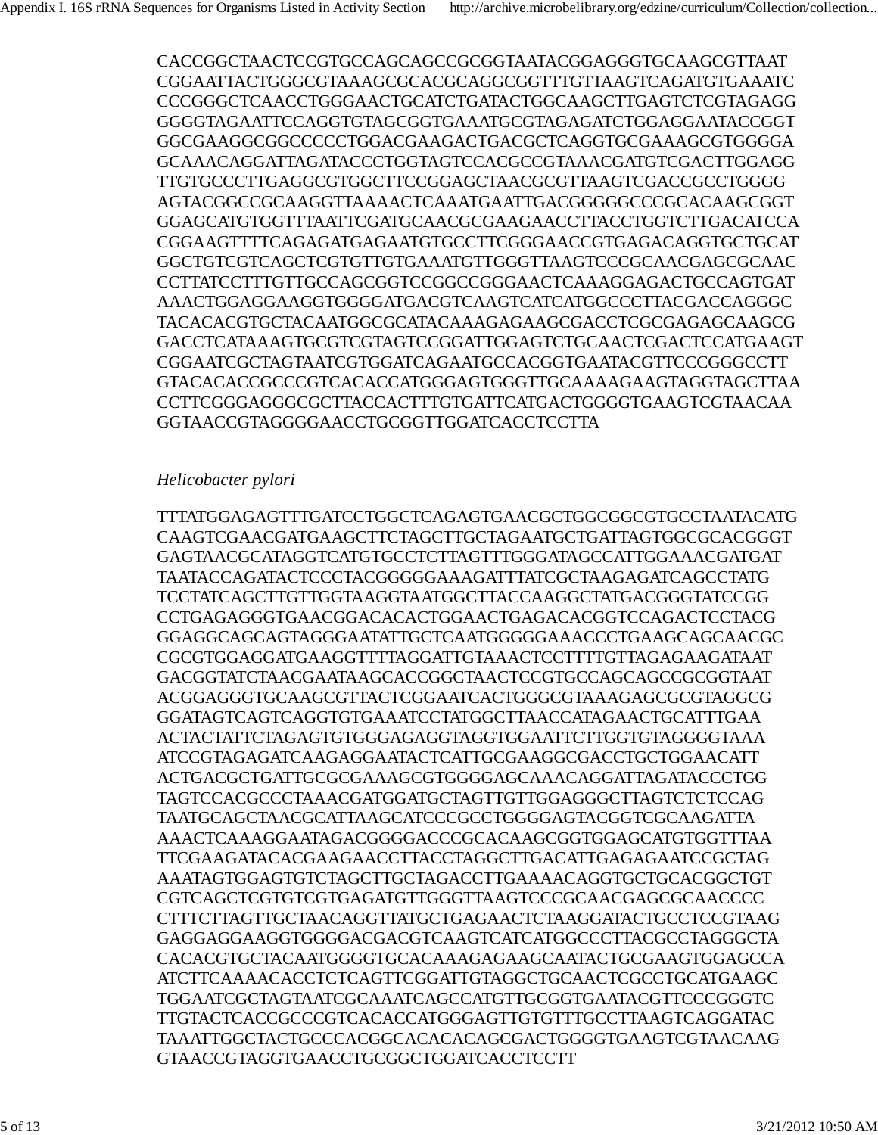CACCGGCTAACTCCGTGCCAGCAGCCGCGGTAATACGGAGGGTGCAAGCGTTAAT CGGAATTACTGGGCGTAAAGCGCACGCAGGCGGTTTGTTAAGTCAGATGTGAAATC CCCGGGCTCAACCTGGGAACTGCATCTGATACTGGCAAGCTTGAGTCTCGTAGAGG GGGGTAGAATTCCAGGTGTAGCGGTGAAATGCGTAGAGATCTGGAGGAATACCGGT GGCGAAGGCGGCCCCCTGGACGAAGACTGACGCTCAGGTGCGAAAGCGTGGGGA GCAAACAGGATTAGATACCCTGGTAGTCCACGCCGTAAACGATGTCGACTTGGAGG TTGTGCCCTTGAGGCGTGGCTTCCGGAGCTAACGCGTTAAGTCGACCGCCTGGGG AGTACGGCCGCAAGGTTAAAACTCAAATGAATTGACGGGGGCCCGCACAAGCGGT GGAGCATGTGGTTTAATTCGATGCAACGCGAAGAACCTTACCTGGTCTTGACATCCA CGGAAGTTTTCAGAGATGAGAATGTGCCTTCGGGAACCGTGAGACAGGTGCTGCAT GGCTGTCGTCAGCTCGTGTTGTGAAATGTTGGGTTAAGTCCCGCAACGAGCGCAAC CCTTATCCTTTGTTGCCAGCGGTCCGGCCGGGAACTCAAAGGAGACTGCCAGTGAT AAACTGGAGGAAGGTGGGGATGACGTCAAGTCATCATGGCCCTTACGACCAGGGC TACACACGTGCTACAATGGCGCATACAAAGAGAAGCGACCTCGCGAGAGCAAGCG GACCTCATAAAGTGCGTCGTAGTCCGGATTGGAGTCTGCAACTCGACTCCATGAAGT CGGAATCGCTAGTAATCGTGGATCAGAATGCCACGGTGAATACGTTCCCGGGCCTT GTACACACCGCCCGTCACACCATGGGAGTGGGTTGCAAAAGAAGTAGGTAGCTTAA CCTTCGGGAGGGCGCTTACCACTTTGTGATTCATGACTGGGGTGAAGTCGTAACAA GGTAACCGTAGGGGAACCTGCGGTTGGATCACCTCCTTA

### *Helicobacter pylori*

TTTATGGAGAGTTTGATCCTGGCTCAGAGTGAACGCTGGCGGCGTGCCTAATACATG CAAGTCGAACGATGAAGCTTCTAGCTTGCTAGAATGCTGATTAGTGGCGCACGGGT GAGTAACGCATAGGTCATGTGCCTCTTAGTTTGGGATAGCCATTGGAAACGATGAT TAATACCAGATACTCCCTACGGGGGAAAGATTTATCGCTAAGAGATCAGCCTATG TCCTATCAGCTTGTTGGTAAGGTAATGGCTTACCAAGGCTATGACGGGTATCCGG CCTGAGAGGGTGAACGGACACACTGGAACTGAGACACGGTCCAGACTCCTACG GGAGGCAGCAGTAGGGAATATTGCTCAATGGGGGAAACCCTGAAGCAGCAACGC CGCGTGGAGGATGAAGGTTTTAGGATTGTAAACTCCTTTTGTTAGAGAAGATAAT GACGGTATCTAACGAATAAGCACCGGCTAACTCCGTGCCAGCAGCCGCGGTAAT ACGGAGGGTGCAAGCGTTACTCGGAATCACTGGGCGTAAAGAGCGCGTAGGCG GGATAGTCAGTCAGGTGTGAAATCCTATGGCTTAACCATAGAACTGCATTTGAA ACTACTATTCTAGAGTGTGGGAGAGGTAGGTGGAATTCTTGGTGTAGGGGTAAA ATCCGTAGAGATCAAGAGGAATACTCATTGCGAAGGCGACCTGCTGGAACATT ACTGACGCTGATTGCGCGAAAGCGTGGGGAGCAAACAGGATTAGATACCCTGG TAGTCCACGCCCTAAACGATGGATGCTAGTTGTTGGAGGGCTTAGTCTCTCCAG TAATGCAGCTAACGCATTAAGCATCCCGCCTGGGGAGTACGGTCGCAAGATTA AAACTCAAAGGAATAGACGGGGACCCGCACAAGCGGTGGAGCATGTGGTTTAA TTCGAAGATACACGAAGAACCTTACCTAGGCTTGACATTGAGAGAATCCGCTAG AAATAGTGGAGTGTCTAGCTTGCTAGACCTTGAAAACAGGTGCTGCACGGCTGT CGTCAGCTCGTGTCGTGAGATGTTGGGTTAAGTCCCGCAACGAGCGCAACCCC CTTTCTTAGTTGCTAACAGGTTATGCTGAGAACTCTAAGGATACTGCCTCCGTAAG GAGGAGGAAGGTGGGGACGACGTCAAGTCATCATGGCCCTTACGCCTAGGGCTA CACACGTGCTACAATGGGGTGCACAAAGAGAAGCAATACTGCGAAGTGGAGCCA ATCTTCAAAACACCTCTCAGTTCGGATTGTAGGCTGCAACTCGCCTGCATGAAGC TGGAATCGCTAGTAATCGCAAATCAGCCATGTTGCGGTGAATACGTTCCCGGGTC TTGTACTCACCGCCCGTCACACCATGGGAGTTGTGTTTGCCTTAAGTCAGGATAC TAAATTGGCTACTGCCCACGGCACACACAGCGACTGGGGTGAAGTCGTAACAAG GTAACCGTAGGTGAACCTGCGGCTGGATCACCTCCTT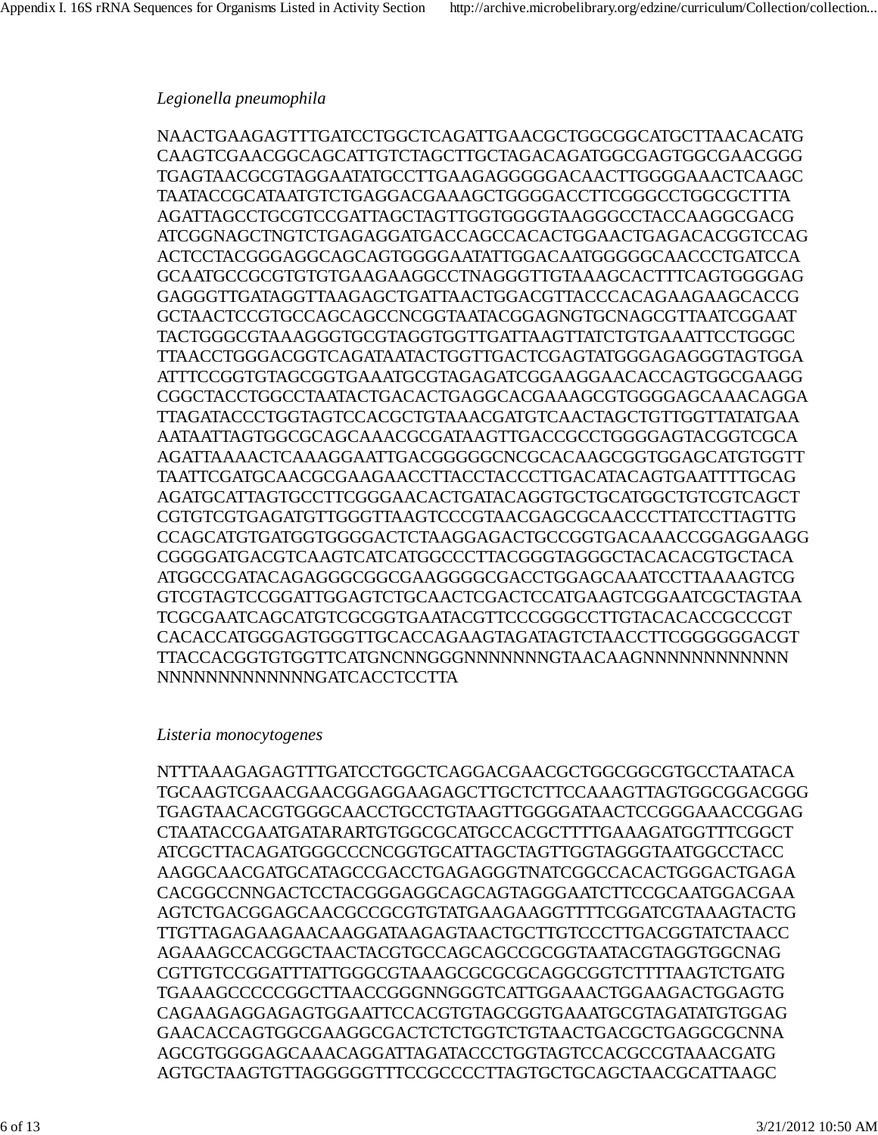### *Legionella pneumophila*

NAACTGAAGAGTTTGATCCTGGCTCAGATTGAACGCTGGCGGCATGCTTAACACATG CAAGTCGAACGGCAGCATTGTCTAGCTTGCTAGACAGATGGCGAGTGGCGAACGGG TGAGTAACGCGTAGGAATATGCCTTGAAGAGGGGGACAACTTGGGGAAACTCAAGC TAATACCGCATAATGTCTGAGGACGAAAGCTGGGGACCTTCGGGCCTGGCGCTTTA AGATTAGCCTGCGTCCGATTAGCTAGTTGGTGGGGTAAGGGCCTACCAAGGCGACG ATCGGNAGCTNGTCTGAGAGGATGACCAGCCACACTGGAACTGAGACACGGTCCAG ACTCCTACGGGAGGCAGCAGTGGGGAATATTGGACAATGGGGGCAACCCTGATCCA GCAATGCCGCGTGTGTGAAGAAGGCCTNAGGGTTGTAAAGCACTTTCAGTGGGGAG GAGGGTTGATAGGTTAAGAGCTGATTAACTGGACGTTACCCACAGAAGAAGCACCG GCTAACTCCGTGCCAGCAGCCNCGGTAATACGGAGNGTGCNAGCGTTAATCGGAAT TACTGGGCGTAAAGGGTGCGTAGGTGGTTGATTAAGTTATCTGTGAAATTCCTGGGC TTAACCTGGGACGGTCAGATAATACTGGTTGACTCGAGTATGGGAGAGGGTAGTGGA ATTTCCGGTGTAGCGGTGAAATGCGTAGAGATCGGAAGGAACACCAGTGGCGAAGG CGGCTACCTGGCCTAATACTGACACTGAGGCACGAAAGCGTGGGGAGCAAACAGGA TTAGATACCCTGGTAGTCCACGCTGTAAACGATGTCAACTAGCTGTTGGTTATATGAA AATAATTAGTGGCGCAGCAAACGCGATAAGTTGACCGCCTGGGGAGTACGGTCGCA AGATTAAAACTCAAAGGAATTGACGGGGGCNCGCACAAGCGGTGGAGCATGTGGTT TAATTCGATGCAACGCGAAGAACCTTACCTACCCTTGACATACAGTGAATTTTGCAG AGATGCATTAGTGCCTTCGGGAACACTGATACAGGTGCTGCATGGCTGTCGTCAGCT CGTGTCGTGAGATGTTGGGTTAAGTCCCGTAACGAGCGCAACCCTTATCCTTAGTTG CCAGCATGTGATGGTGGGGACTCTAAGGAGACTGCCGGTGACAAACCGGAGGAAGG CGGGGATGACGTCAAGTCATCATGGCCCTTACGGGTAGGGCTACACACGTGCTACA ATGGCCGATACAGAGGGCGGCGAAGGGGCGACCTGGAGCAAATCCTTAAAAGTCG GTCGTAGTCCGGATTGGAGTCTGCAACTCGACTCCATGAAGTCGGAATCGCTAGTAA TCGCGAATCAGCATGTCGCGGTGAATACGTTCCCGGGCCTTGTACACACCGCCCGT CACACCATGGGAGTGGGTTGCACCAGAAGTAGATAGTCTAACCTTCGGGGGGACGT TTACCACGGTGTGGTTCATGNCNNGGGNNNNNNNGTAACAAGNNNNNNNNNNNN NNNNNNNNNNNNNGATCACCTCCTTA

### *Listeria monocytogenes*

NTTTAAAGAGAGTTTGATCCTGGCTCAGGACGAACGCTGGCGGCGTGCCTAATACA TGCAAGTCGAACGAACGGAGGAAGAGCTTGCTCTTCCAAAGTTAGTGGCGGACGGG TGAGTAACACGTGGGCAACCTGCCTGTAAGTTGGGGATAACTCCGGGAAACCGGAG CTAATACCGAATGATARARTGTGGCGCATGCCACGCTTTTGAAAGATGGTTTCGGCT ATCGCTTACAGATGGGCCCNCGGTGCATTAGCTAGTTGGTAGGGTAATGGCCTACC AAGGCAACGATGCATAGCCGACCTGAGAGGGTNATCGGCCACACTGGGACTGAGA CACGGCCNNGACTCCTACGGGAGGCAGCAGTAGGGAATCTTCCGCAATGGACGAA AGTCTGACGGAGCAACGCCGCGTGTATGAAGAAGGTTTTCGGATCGTAAAGTACTG TTGTTAGAGAAGAACAAGGATAAGAGTAACTGCTTGTCCCTTGACGGTATCTAACC AGAAAGCCACGGCTAACTACGTGCCAGCAGCCGCGGTAATACGTAGGTGGCNAG CGTTGTCCGGATTTATTGGGCGTAAAGCGCGCGCAGGCGGTCTTTTAAGTCTGATG TGAAAGCCCCCGGCTTAACCGGGNNGGGTCATTGGAAACTGGAAGACTGGAGTG CAGAAGAGGAGAGTGGAATTCCACGTGTAGCGGTGAAATGCGTAGATATGTGGAG GAACACCAGTGGCGAAGGCGACTCTCTGGTCTGTAACTGACGCTGAGGCGCNNA AGCGTGGGGAGCAAACAGGATTAGATACCCTGGTAGTCCACGCCGTAAACGATG AGTGCTAAGTGTTAGGGGGTTTCCGCCCCTTAGTGCTGCAGCTAACGCATTAAGC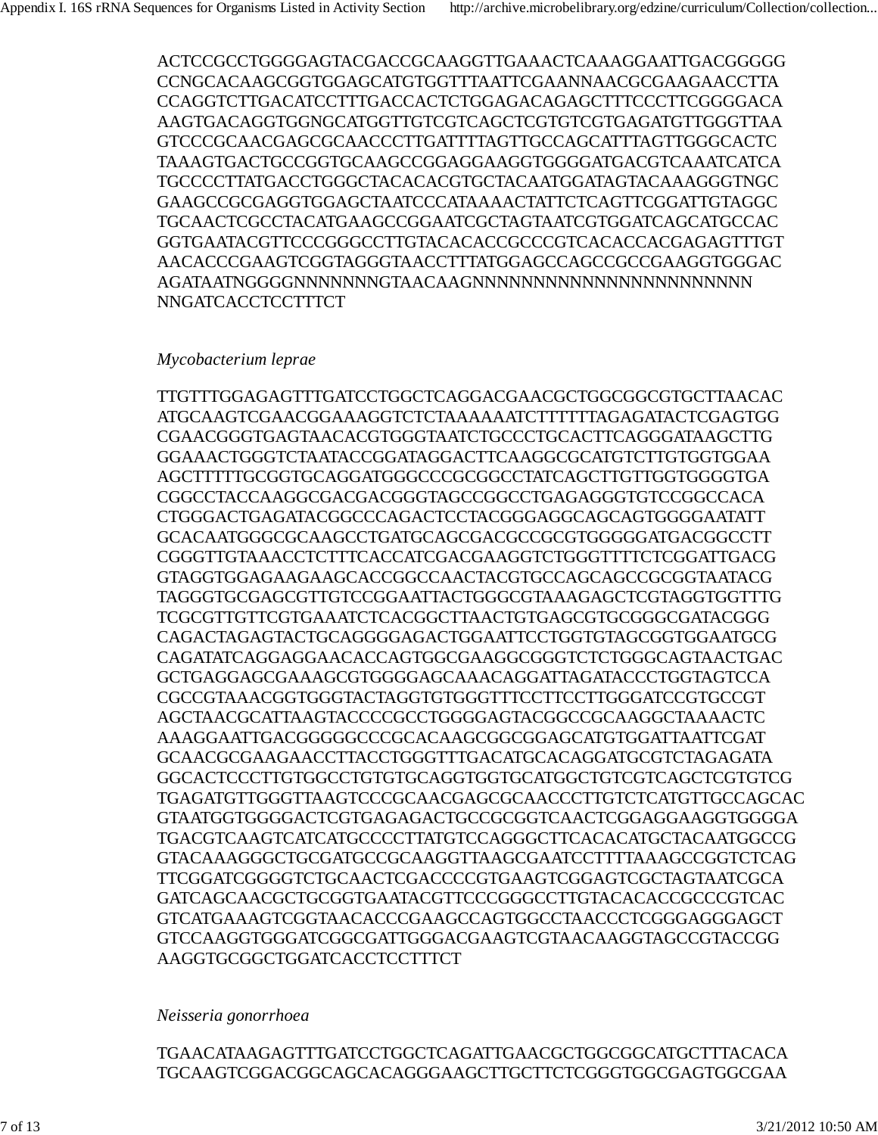ACTCCGCCTGGGGAGTACGACCGCAAGGTTGAAACTCAAAGGAATTGACGGGGG CCNGCACAAGCGGTGGAGCATGTGGTTTAATTCGAANNAACGCGAAGAACCTTA CCAGGTCTTGACATCCTTTGACCACTCTGGAGACAGAGCTTTCCCTTCGGGGACA AAGTGACAGGTGGNGCATGGTTGTCGTCAGCTCGTGTCGTGAGATGTTGGGTTAA GTCCCGCAACGAGCGCAACCCTTGATTTTAGTTGCCAGCATTTAGTTGGGCACTC TAAAGTGACTGCCGGTGCAAGCCGGAGGAAGGTGGGGATGACGTCAAATCATCA TGCCCCTTATGACCTGGGCTACACACGTGCTACAATGGATAGTACAAAGGGTNGC GAAGCCGCGAGGTGGAGCTAATCCCATAAAACTATTCTCAGTTCGGATTGTAGGC TGCAACTCGCCTACATGAAGCCGGAATCGCTAGTAATCGTGGATCAGCATGCCAC GGTGAATACGTTCCCGGGCCTTGTACACACCGCCCGTCACACCACGAGAGTTTGT AACACCCGAAGTCGGTAGGGTAACCTTTATGGAGCCAGCCGCCGAAGGTGGGAC AGATAATNGGGGNNNNNNNGTAACAAGNNNNNNNNNNNNNNNNNNNNNNN NNGATCACCTCCTTTCT

### *Mycobacterium leprae*

TTGTTTGGAGAGTTTGATCCTGGCTCAGGACGAACGCTGGCGGCGTGCTTAACAC ATGCAAGTCGAACGGAAAGGTCTCTAAAAAATCTTTTTTAGAGATACTCGAGTGG CGAACGGGTGAGTAACACGTGGGTAATCTGCCCTGCACTTCAGGGATAAGCTTG GGAAACTGGGTCTAATACCGGATAGGACTTCAAGGCGCATGTCTTGTGGTGGAA AGCTTTTTGCGGTGCAGGATGGGCCCGCGGCCTATCAGCTTGTTGGTGGGGTGA CGGCCTACCAAGGCGACGACGGGTAGCCGGCCTGAGAGGGTGTCCGGCCACA CTGGGACTGAGATACGGCCCAGACTCCTACGGGAGGCAGCAGTGGGGAATATT GCACAATGGGCGCAAGCCTGATGCAGCGACGCCGCGTGGGGGATGACGGCCTT CGGGTTGTAAACCTCTTTCACCATCGACGAAGGTCTGGGTTTTCTCGGATTGACG GTAGGTGGAGAAGAAGCACCGGCCAACTACGTGCCAGCAGCCGCGGTAATACG TAGGGTGCGAGCGTTGTCCGGAATTACTGGGCGTAAAGAGCTCGTAGGTGGTTTG TCGCGTTGTTCGTGAAATCTCACGGCTTAACTGTGAGCGTGCGGGCGATACGGG CAGACTAGAGTACTGCAGGGGAGACTGGAATTCCTGGTGTAGCGGTGGAATGCG CAGATATCAGGAGGAACACCAGTGGCGAAGGCGGGTCTCTGGGCAGTAACTGAC GCTGAGGAGCGAAAGCGTGGGGAGCAAACAGGATTAGATACCCTGGTAGTCCA CGCCGTAAACGGTGGGTACTAGGTGTGGGTTTCCTTCCTTGGGATCCGTGCCGT AGCTAACGCATTAAGTACCCCGCCTGGGGAGTACGGCCGCAAGGCTAAAACTC AAAGGAATTGACGGGGGCCCGCACAAGCGGCGGAGCATGTGGATTAATTCGAT GCAACGCGAAGAACCTTACCTGGGTTTGACATGCACAGGATGCGTCTAGAGATA GGCACTCCCTTGTGGCCTGTGTGCAGGTGGTGCATGGCTGTCGTCAGCTCGTGTCG TGAGATGTTGGGTTAAGTCCCGCAACGAGCGCAACCCTTGTCTCATGTTGCCAGCAC GTAATGGTGGGGACTCGTGAGAGACTGCCGCGGTCAACTCGGAGGAAGGTGGGGA TGACGTCAAGTCATCATGCCCCTTATGTCCAGGGCTTCACACATGCTACAATGGCCG GTACAAAGGGCTGCGATGCCGCAAGGTTAAGCGAATCCTTTTAAAGCCGGTCTCAG TTCGGATCGGGGTCTGCAACTCGACCCCGTGAAGTCGGAGTCGCTAGTAATCGCA GATCAGCAACGCTGCGGTGAATACGTTCCCGGGCCTTGTACACACCGCCCGTCAC GTCATGAAAGTCGGTAACACCCGAAGCCAGTGGCCTAACCCTCGGGAGGGAGCT GTCCAAGGTGGGATCGGCGATTGGGACGAAGTCGTAACAAGGTAGCCGTACCGG AAGGTGCGGCTGGATCACCTCCTTTCT

### *Neisseria gonorrhoea*

TGAACATAAGAGTTTGATCCTGGCTCAGATTGAACGCTGGCGGCATGCTTTACACA TGCAAGTCGGACGGCAGCACAGGGAAGCTTGCTTCTCGGGTGGCGAGTGGCGAA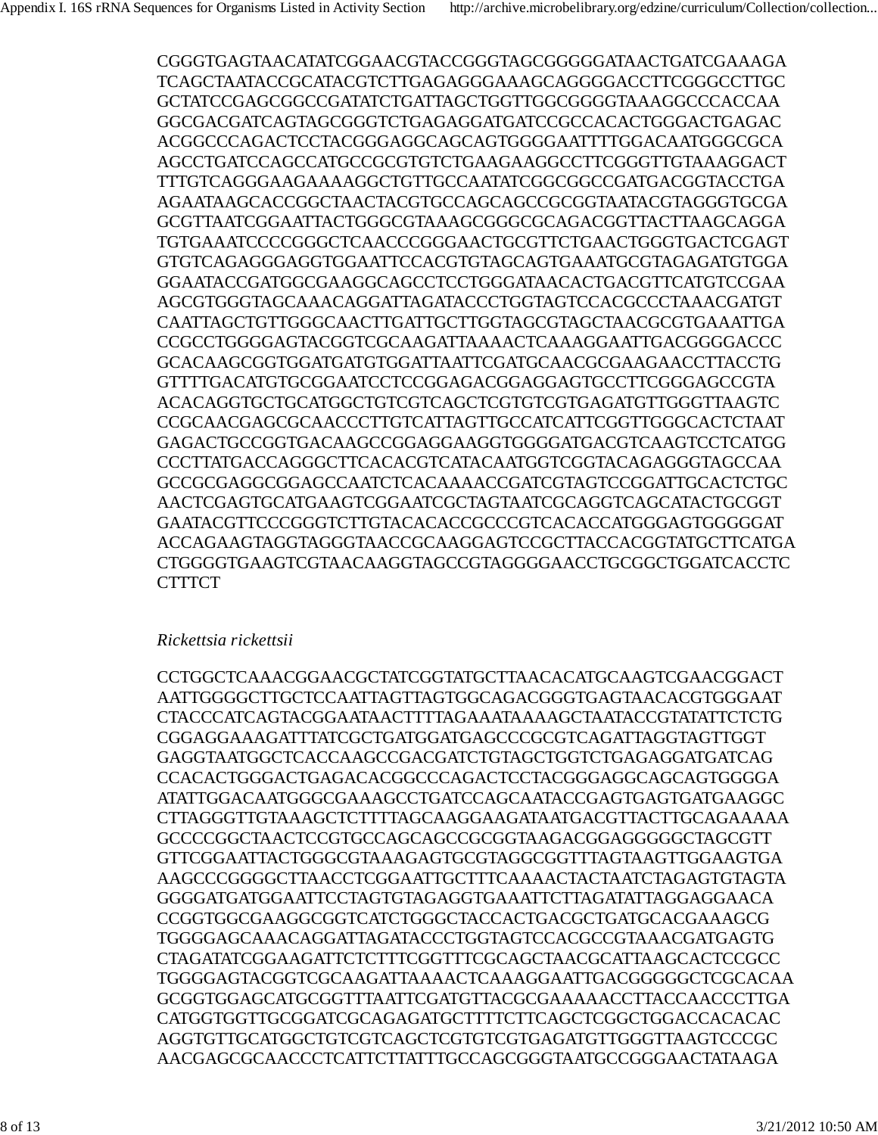CGGGTGAGTAACATATCGGAACGTACCGGGTAGCGGGGGATAACTGATCGAAAGA TCAGCTAATACCGCATACGTCTTGAGAGGGAAAGCAGGGGACCTTCGGGCCTTGC GCTATCCGAGCGGCCGATATCTGATTAGCTGGTTGGCGGGGTAAAGGCCCACCAA GGCGACGATCAGTAGCGGGTCTGAGAGGATGATCCGCCACACTGGGACTGAGAC ACGGCCCAGACTCCTACGGGAGGCAGCAGTGGGGAATTTTGGACAATGGGCGCA AGCCTGATCCAGCCATGCCGCGTGTCTGAAGAAGGCCTTCGGGTTGTAAAGGACT TTTGTCAGGGAAGAAAAGGCTGTTGCCAATATCGGCGGCCGATGACGGTACCTGA AGAATAAGCACCGGCTAACTACGTGCCAGCAGCCGCGGTAATACGTAGGGTGCGA GCGTTAATCGGAATTACTGGGCGTAAAGCGGGCGCAGACGGTTACTTAAGCAGGA TGTGAAATCCCCGGGCTCAACCCGGGAACTGCGTTCTGAACTGGGTGACTCGAGT GTGTCAGAGGGAGGTGGAATTCCACGTGTAGCAGTGAAATGCGTAGAGATGTGGA GGAATACCGATGGCGAAGGCAGCCTCCTGGGATAACACTGACGTTCATGTCCGAA AGCGTGGGTAGCAAACAGGATTAGATACCCTGGTAGTCCACGCCCTAAACGATGT CAATTAGCTGTTGGGCAACTTGATTGCTTGGTAGCGTAGCTAACGCGTGAAATTGA CCGCCTGGGGAGTACGGTCGCAAGATTAAAACTCAAAGGAATTGACGGGGACCC GCACAAGCGGTGGATGATGTGGATTAATTCGATGCAACGCGAAGAACCTTACCTG GTTTTGACATGTGCGGAATCCTCCGGAGACGGAGGAGTGCCTTCGGGAGCCGTA ACACAGGTGCTGCATGGCTGTCGTCAGCTCGTGTCGTGAGATGTTGGGTTAAGTC CCGCAACGAGCGCAACCCTTGTCATTAGTTGCCATCATTCGGTTGGGCACTCTAAT GAGACTGCCGGTGACAAGCCGGAGGAAGGTGGGGATGACGTCAAGTCCTCATGG CCCTTATGACCAGGGCTTCACACGTCATACAATGGTCGGTACAGAGGGTAGCCAA GCCGCGAGGCGGAGCCAATCTCACAAAACCGATCGTAGTCCGGATTGCACTCTGC AACTCGAGTGCATGAAGTCGGAATCGCTAGTAATCGCAGGTCAGCATACTGCGGT GAATACGTTCCCGGGTCTTGTACACACCGCCCGTCACACCATGGGAGTGGGGGAT ACCAGAAGTAGGTAGGGTAACCGCAAGGAGTCCGCTTACCACGGTATGCTTCATGA CTGGGGTGAAGTCGTAACAAGGTAGCCGTAGGGGAACCTGCGGCTGGATCACCTC **CTTTCT** 

### *Rickettsia rickettsii*

CCTGGCTCAAACGGAACGCTATCGGTATGCTTAACACATGCAAGTCGAACGGACT AATTGGGGCTTGCTCCAATTAGTTAGTGGCAGACGGGTGAGTAACACGTGGGAAT CTACCCATCAGTACGGAATAACTTTTAGAAATAAAAGCTAATACCGTATATTCTCTG CGGAGGAAAGATTTATCGCTGATGGATGAGCCCGCGTCAGATTAGGTAGTTGGT GAGGTAATGGCTCACCAAGCCGACGATCTGTAGCTGGTCTGAGAGGATGATCAG CCACACTGGGACTGAGACACGGCCCAGACTCCTACGGGAGGCAGCAGTGGGGA ATATTGGACAATGGGCGAAAGCCTGATCCAGCAATACCGAGTGAGTGATGAAGGC CTTAGGGTTGTAAAGCTCTTTTAGCAAGGAAGATAATGACGTTACTTGCAGAAAAA GCCCCGGCTAACTCCGTGCCAGCAGCCGCGGTAAGACGGAGGGGGCTAGCGTT GTTCGGAATTACTGGGCGTAAAGAGTGCGTAGGCGGTTTAGTAAGTTGGAAGTGA AAGCCCGGGGCTTAACCTCGGAATTGCTTTCAAAACTACTAATCTAGAGTGTAGTA GGGGATGATGGAATTCCTAGTGTAGAGGTGAAATTCTTAGATATTAGGAGGAACA CCGGTGGCGAAGGCGGTCATCTGGGCTACCACTGACGCTGATGCACGAAAGCG TGGGGAGCAAACAGGATTAGATACCCTGGTAGTCCACGCCGTAAACGATGAGTG CTAGATATCGGAAGATTCTCTTTCGGTTTCGCAGCTAACGCATTAAGCACTCCGCC TGGGGAGTACGGTCGCAAGATTAAAACTCAAAGGAATTGACGGGGGCTCGCACAA GCGGTGGAGCATGCGGTTTAATTCGATGTTACGCGAAAAACCTTACCAACCCTTGA CATGGTGGTTGCGGATCGCAGAGATGCTTTTCTTCAGCTCGGCTGGACCACACAC AGGTGTTGCATGGCTGTCGTCAGCTCGTGTCGTGAGATGTTGGGTTAAGTCCCGC AACGAGCGCAACCCTCATTCTTATTTGCCAGCGGGTAATGCCGGGAACTATAAGA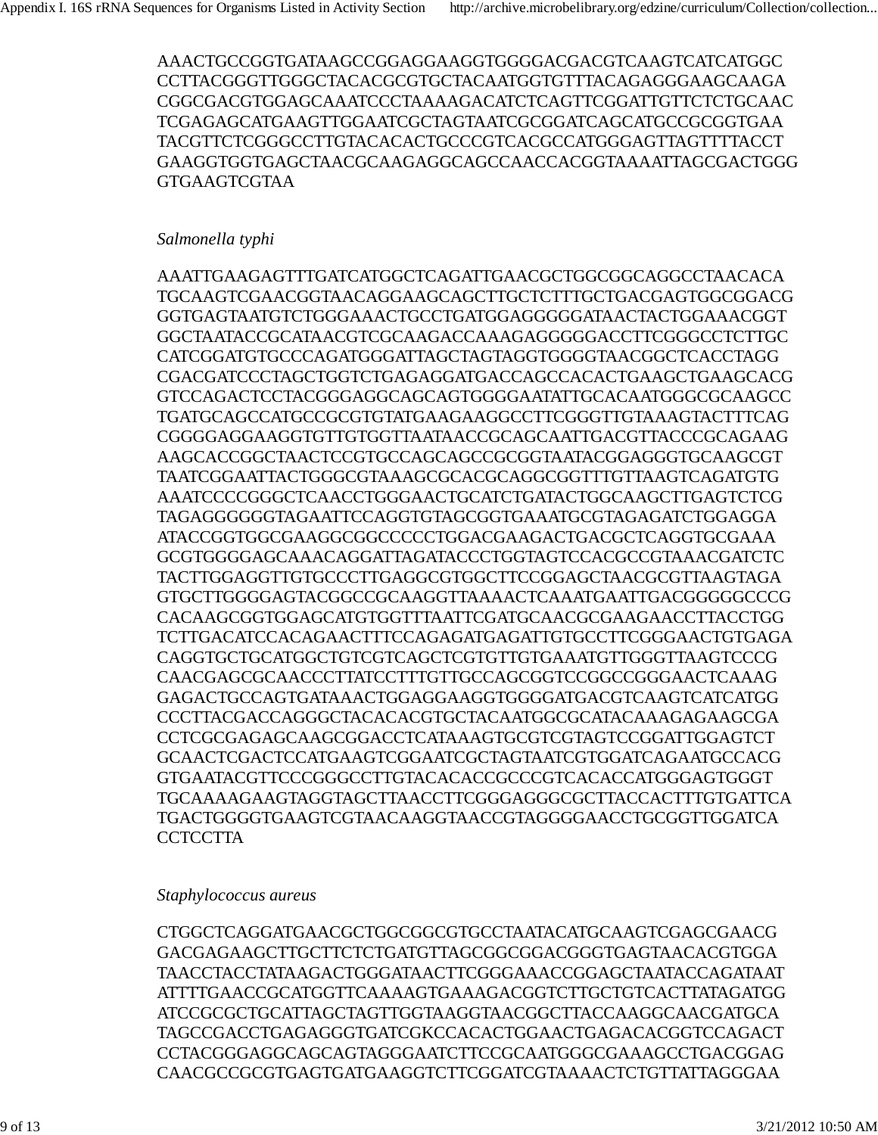AAACTGCCGGTGATAAGCCGGAGGAAGGTGGGGACGACGTCAAGTCATCATGGC CCTTACGGGTTGGGCTACACGCGTGCTACAATGGTGTTTACAGAGGGAAGCAAGA CGGCGACGTGGAGCAAATCCCTAAAAGACATCTCAGTTCGGATTGTTCTCTGCAAC TCGAGAGCATGAAGTTGGAATCGCTAGTAATCGCGGATCAGCATGCCGCGGTGAA TACGTTCTCGGGCCTTGTACACACTGCCCGTCACGCCATGGGAGTTAGTTTTACCT GAAGGTGGTGAGCTAACGCAAGAGGCAGCCAACCACGGTAAAATTAGCGACTGGG GTGAAGTCGTAA

### *Salmonella typhi*

AAATTGAAGAGTTTGATCATGGCTCAGATTGAACGCTGGCGGCAGGCCTAACACA TGCAAGTCGAACGGTAACAGGAAGCAGCTTGCTCTTTGCTGACGAGTGGCGGACG GGTGAGTAATGTCTGGGAAACTGCCTGATGGAGGGGGATAACTACTGGAAACGGT GGCTAATACCGCATAACGTCGCAAGACCAAAGAGGGGGACCTTCGGGCCTCTTGC CATCGGATGTGCCCAGATGGGATTAGCTAGTAGGTGGGGTAACGGCTCACCTAGG CGACGATCCCTAGCTGGTCTGAGAGGATGACCAGCCACACTGAAGCTGAAGCACG GTCCAGACTCCTACGGGAGGCAGCAGTGGGGAATATTGCACAATGGGCGCAAGCC TGATGCAGCCATGCCGCGTGTATGAAGAAGGCCTTCGGGTTGTAAAGTACTTTCAG CGGGGAGGAAGGTGTTGTGGTTAATAACCGCAGCAATTGACGTTACCCGCAGAAG AAGCACCGGCTAACTCCGTGCCAGCAGCCGCGGTAATACGGAGGGTGCAAGCGT TAATCGGAATTACTGGGCGTAAAGCGCACGCAGGCGGTTTGTTAAGTCAGATGTG AAATCCCCGGGCTCAACCTGGGAACTGCATCTGATACTGGCAAGCTTGAGTCTCG TAGAGGGGGGTAGAATTCCAGGTGTAGCGGTGAAATGCGTAGAGATCTGGAGGA ATACCGGTGGCGAAGGCGGCCCCCTGGACGAAGACTGACGCTCAGGTGCGAAA GCGTGGGGAGCAAACAGGATTAGATACCCTGGTAGTCCACGCCGTAAACGATCTC TACTTGGAGGTTGTGCCCTTGAGGCGTGGCTTCCGGAGCTAACGCGTTAAGTAGA GTGCTTGGGGAGTACGGCCGCAAGGTTAAAACTCAAATGAATTGACGGGGGCCCG CACAAGCGGTGGAGCATGTGGTTTAATTCGATGCAACGCGAAGAACCTTACCTGG TCTTGACATCCACAGAACTTTCCAGAGATGAGATTGTGCCTTCGGGAACTGTGAGA CAGGTGCTGCATGGCTGTCGTCAGCTCGTGTTGTGAAATGTTGGGTTAAGTCCCG CAACGAGCGCAACCCTTATCCTTTGTTGCCAGCGGTCCGGCCGGGAACTCAAAG GAGACTGCCAGTGATAAACTGGAGGAAGGTGGGGATGACGTCAAGTCATCATGG CCCTTACGACCAGGGCTACACACGTGCTACAATGGCGCATACAAAGAGAAGCGA CCTCGCGAGAGCAAGCGGACCTCATAAAGTGCGTCGTAGTCCGGATTGGAGTCT GCAACTCGACTCCATGAAGTCGGAATCGCTAGTAATCGTGGATCAGAATGCCACG GTGAATACGTTCCCGGGCCTTGTACACACCGCCCGTCACACCATGGGAGTGGGT TGCAAAAGAAGTAGGTAGCTTAACCTTCGGGAGGGCGCTTACCACTTTGTGATTCA TGACTGGGGTGAAGTCGTAACAAGGTAACCGTAGGGGAACCTGCGGTTGGATCA **CCTCCTTA** 

### *Staphylococcus aureus*

CTGGCTCAGGATGAACGCTGGCGGCGTGCCTAATACATGCAAGTCGAGCGAACG GACGAGAAGCTTGCTTCTCTGATGTTAGCGGCGGACGGGTGAGTAACACGTGGA TAACCTACCTATAAGACTGGGATAACTTCGGGAAACCGGAGCTAATACCAGATAAT ATTTTGAACCGCATGGTTCAAAAGTGAAAGACGGTCTTGCTGTCACTTATAGATGG ATCCGCGCTGCATTAGCTAGTTGGTAAGGTAACGGCTTACCAAGGCAACGATGCA TAGCCGACCTGAGAGGGTGATCGKCCACACTGGAACTGAGACACGGTCCAGACT CCTACGGGAGGCAGCAGTAGGGAATCTTCCGCAATGGGCGAAAGCCTGACGGAG CAACGCCGCGTGAGTGATGAAGGTCTTCGGATCGTAAAACTCTGTTATTAGGGAA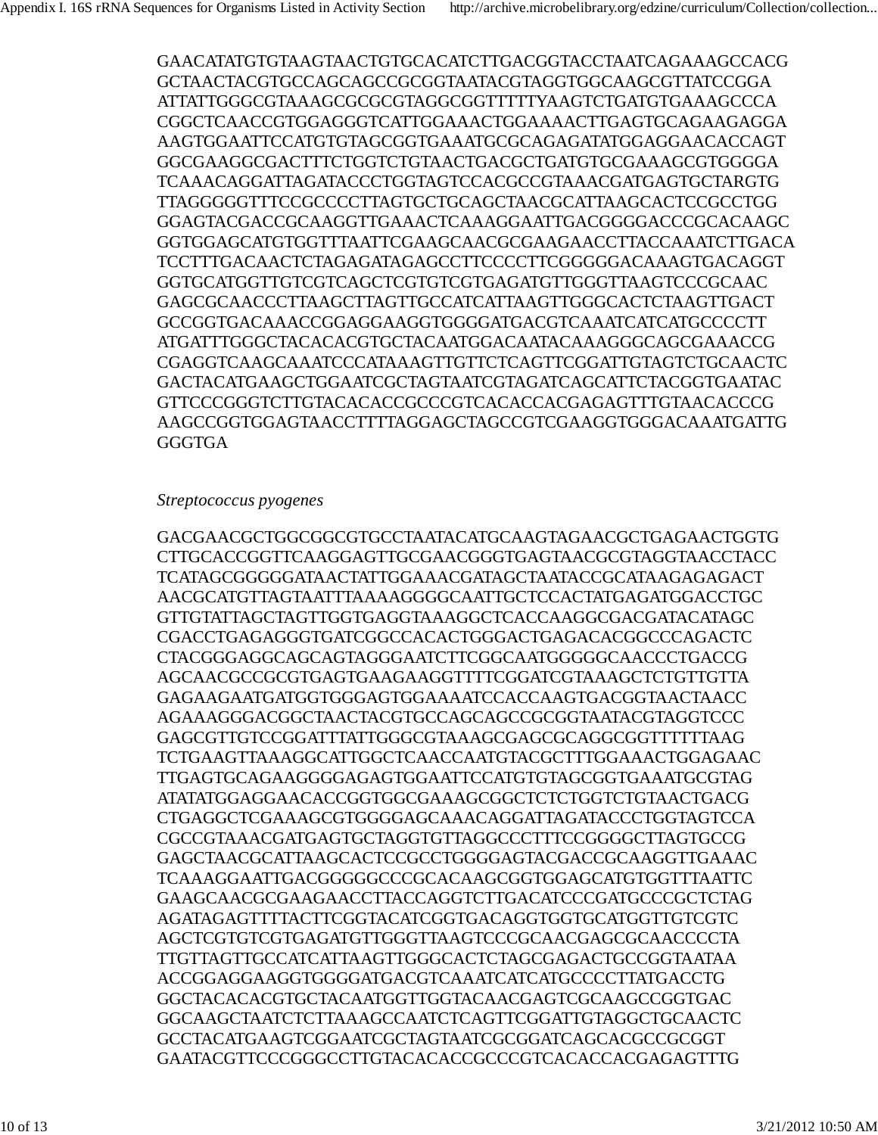GAACATATGTGTAAGTAACTGTGCACATCTTGACGGTACCTAATCAGAAAGCCACG GCTAACTACGTGCCAGCAGCCGCGGTAATACGTAGGTGGCAAGCGTTATCCGGA ATTATTGGGCGTAAAGCGCGCGTAGGCGGTTTTTYAAGTCTGATGTGAAAGCCCA CGGCTCAACCGTGGAGGGTCATTGGAAACTGGAAAACTTGAGTGCAGAAGAGGA AAGTGGAATTCCATGTGTAGCGGTGAAATGCGCAGAGATATGGAGGAACACCAGT GGCGAAGGCGACTTTCTGGTCTGTAACTGACGCTGATGTGCGAAAGCGTGGGGA TCAAACAGGATTAGATACCCTGGTAGTCCACGCCGTAAACGATGAGTGCTARGTG TTAGGGGGTTTCCGCCCCTTAGTGCTGCAGCTAACGCATTAAGCACTCCGCCTGG GGAGTACGACCGCAAGGTTGAAACTCAAAGGAATTGACGGGGACCCGCACAAGC GGTGGAGCATGTGGTTTAATTCGAAGCAACGCGAAGAACCTTACCAAATCTTGACA TCCTTTGACAACTCTAGAGATAGAGCCTTCCCCTTCGGGGGACAAAGTGACAGGT GGTGCATGGTTGTCGTCAGCTCGTGTCGTGAGATGTTGGGTTAAGTCCCGCAAC GAGCGCAACCCTTAAGCTTAGTTGCCATCATTAAGTTGGGCACTCTAAGTTGACT GCCGGTGACAAACCGGAGGAAGGTGGGGATGACGTCAAATCATCATGCCCCTT ATGATTTGGGCTACACACGTGCTACAATGGACAATACAAAGGGCAGCGAAACCG CGAGGTCAAGCAAATCCCATAAAGTTGTTCTCAGTTCGGATTGTAGTCTGCAACTC GACTACATGAAGCTGGAATCGCTAGTAATCGTAGATCAGCATTCTACGGTGAATAC GTTCCCGGGTCTTGTACACACCGCCCGTCACACCACGAGAGTTTGTAACACCCG AAGCCGGTGGAGTAACCTTTTAGGAGCTAGCCGTCGAAGGTGGGACAAATGATTG GGGTGA

#### *Streptococcus pyogenes*

GACGAACGCTGGCGGCGTGCCTAATACATGCAAGTAGAACGCTGAGAACTGGTG CTTGCACCGGTTCAAGGAGTTGCGAACGGGTGAGTAACGCGTAGGTAACCTACC TCATAGCGGGGGATAACTATTGGAAACGATAGCTAATACCGCATAAGAGAGACT AACGCATGTTAGTAATTTAAAAGGGGCAATTGCTCCACTATGAGATGGACCTGC GTTGTATTAGCTAGTTGGTGAGGTAAAGGCTCACCAAGGCGACGATACATAGC CGACCTGAGAGGGTGATCGGCCACACTGGGACTGAGACACGGCCCAGACTC CTACGGGAGGCAGCAGTAGGGAATCTTCGGCAATGGGGGCAACCCTGACCG AGCAACGCCGCGTGAGTGAAGAAGGTTTTCGGATCGTAAAGCTCTGTTGTTA GAGAAGAATGATGGTGGGAGTGGAAAATCCACCAAGTGACGGTAACTAACC AGAAAGGGACGGCTAACTACGTGCCAGCAGCCGCGGTAATACGTAGGTCCC GAGCGTTGTCCGGATTTATTGGGCGTAAAGCGAGCGCAGGCGGTTTTTTAAG TCTGAAGTTAAAGGCATTGGCTCAACCAATGTACGCTTTGGAAACTGGAGAAC TTGAGTGCAGAAGGGGAGAGTGGAATTCCATGTGTAGCGGTGAAATGCGTAG ATATATGGAGGAACACCGGTGGCGAAAGCGGCTCTCTGGTCTGTAACTGACG CTGAGGCTCGAAAGCGTGGGGAGCAAACAGGATTAGATACCCTGGTAGTCCA CGCCGTAAACGATGAGTGCTAGGTGTTAGGCCCTTTCCGGGGCTTAGTGCCG GAGCTAACGCATTAAGCACTCCGCCTGGGGAGTACGACCGCAAGGTTGAAAC TCAAAGGAATTGACGGGGGCCCGCACAAGCGGTGGAGCATGTGGTTTAATTC GAAGCAACGCGAAGAACCTTACCAGGTCTTGACATCCCGATGCCCGCTCTAG AGATAGAGTTTTACTTCGGTACATCGGTGACAGGTGGTGCATGGTTGTCGTC AGCTCGTGTCGTGAGATGTTGGGTTAAGTCCCGCAACGAGCGCAACCCCTA TTGTTAGTTGCCATCATTAAGTTGGGCACTCTAGCGAGACTGCCGGTAATAA ACCGGAGGAAGGTGGGGATGACGTCAAATCATCATGCCCCTTATGACCTG GGCTACACACGTGCTACAATGGTTGGTACAACGAGTCGCAAGCCGGTGAC GGCAAGCTAATCTCTTAAAGCCAATCTCAGTTCGGATTGTAGGCTGCAACTC GCCTACATGAAGTCGGAATCGCTAGTAATCGCGGATCAGCACGCCGCGGT GAATACGTTCCCGGGCCTTGTACACACCGCCCGTCACACCACGAGAGTTTG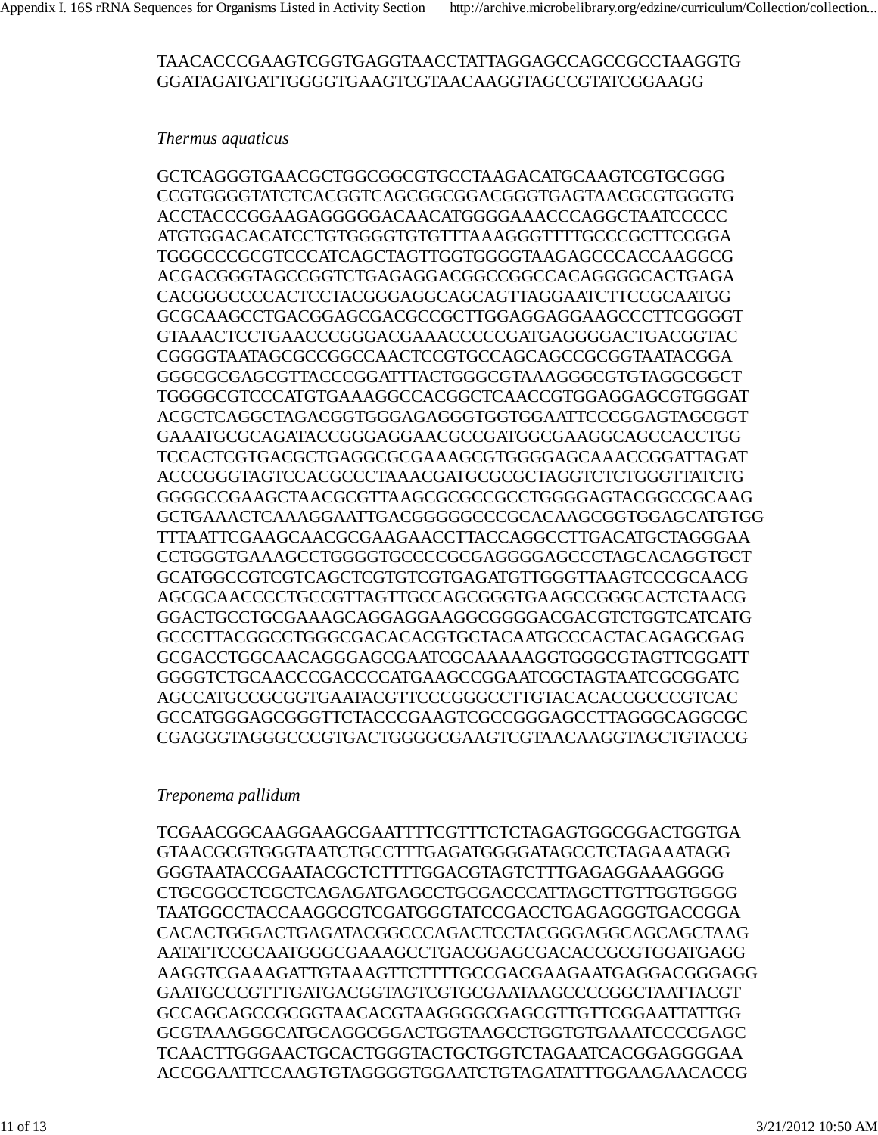### TAACACCCGAAGTCGGTGAGGTAACCTATTAGGAGCCAGCCGCCTAAGGTG GGATAGATGATTGGGGTGAAGTCGTAACAAGGTAGCCGTATCGGAAGG

### *Thermus aquaticus*

GCTCAGGGTGAACGCTGGCGGCGTGCCTAAGACATGCAAGTCGTGCGGG CCGTGGGGTATCTCACGGTCAGCGGCGGACGGGTGAGTAACGCGTGGGTG ACCTACCCGGAAGAGGGGGACAACATGGGGAAACCCAGGCTAATCCCCC ATGTGGACACATCCTGTGGGGTGTGTTTAAAGGGTTTTGCCCGCTTCCGGA TGGGCCCGCGTCCCATCAGCTAGTTGGTGGGGTAAGAGCCCACCAAGGCG ACGACGGGTAGCCGGTCTGAGAGGACGGCCGGCCACAGGGGCACTGAGA CACGGGCCCCACTCCTACGGGAGGCAGCAGTTAGGAATCTTCCGCAATGG GCGCAAGCCTGACGGAGCGACGCCGCTTGGAGGAGGAAGCCCTTCGGGGT GTAAACTCCTGAACCCGGGACGAAACCCCCGATGAGGGGACTGACGGTAC CGGGGTAATAGCGCCGGCCAACTCCGTGCCAGCAGCCGCGGTAATACGGA GGGCGCGAGCGTTACCCGGATTTACTGGGCGTAAAGGGCGTGTAGGCGGCT TGGGGCGTCCCATGTGAAAGGCCACGGCTCAACCGTGGAGGAGCGTGGGAT ACGCTCAGGCTAGACGGTGGGAGAGGGTGGTGGAATTCCCGGAGTAGCGGT GAAATGCGCAGATACCGGGAGGAACGCCGATGGCGAAGGCAGCCACCTGG TCCACTCGTGACGCTGAGGCGCGAAAGCGTGGGGAGCAAACCGGATTAGAT ACCCGGGTAGTCCACGCCCTAAACGATGCGCGCTAGGTCTCTGGGTTATCTG GGGGCCGAAGCTAACGCGTTAAGCGCGCCGCCTGGGGAGTACGGCCGCAAG GCTGAAACTCAAAGGAATTGACGGGGGCCCGCACAAGCGGTGGAGCATGTGG TTTAATTCGAAGCAACGCGAAGAACCTTACCAGGCCTTGACATGCTAGGGAA CCTGGGTGAAAGCCTGGGGTGCCCCGCGAGGGGAGCCCTAGCACAGGTGCT GCATGGCCGTCGTCAGCTCGTGTCGTGAGATGTTGGGTTAAGTCCCGCAACG AGCGCAACCCCTGCCGTTAGTTGCCAGCGGGTGAAGCCGGGCACTCTAACG GGACTGCCTGCGAAAGCAGGAGGAAGGCGGGGACGACGTCTGGTCATCATG GCCCTTACGGCCTGGGCGACACACGTGCTACAATGCCCACTACAGAGCGAG GCGACCTGGCAACAGGGAGCGAATCGCAAAAAGGTGGGCGTAGTTCGGATT GGGGTCTGCAACCCGACCCCATGAAGCCGGAATCGCTAGTAATCGCGGATC AGCCATGCCGCGGTGAATACGTTCCCGGGCCTTGTACACACCGCCCGTCAC GCCATGGGAGCGGGTTCTACCCGAAGTCGCCGGGAGCCTTAGGGCAGGCGC CGAGGGTAGGGCCCGTGACTGGGGCGAAGTCGTAACAAGGTAGCTGTACCG

### *Treponema pallidum*

TCGAACGGCAAGGAAGCGAATTTTCGTTTCTCTAGAGTGGCGGACTGGTGA GTAACGCGTGGGTAATCTGCCTTTGAGATGGGGATAGCCTCTAGAAATAGG GGGTAATACCGAATACGCTCTTTTGGACGTAGTCTTTGAGAGGAAAGGGG CTGCGGCCTCGCTCAGAGATGAGCCTGCGACCCATTAGCTTGTTGGTGGGG TAATGGCCTACCAAGGCGTCGATGGGTATCCGACCTGAGAGGGTGACCGGA CACACTGGGACTGAGATACGGCCCAGACTCCTACGGGAGGCAGCAGCTAAG AATATTCCGCAATGGGCGAAAGCCTGACGGAGCGACACCGCGTGGATGAGG AAGGTCGAAAGATTGTAAAGTTCTTTTGCCGACGAAGAATGAGGACGGGAGG GAATGCCCGTTTGATGACGGTAGTCGTGCGAATAAGCCCCGGCTAATTACGT GCCAGCAGCCGCGGTAACACGTAAGGGGCGAGCGTTGTTCGGAATTATTGG GCGTAAAGGGCATGCAGGCGGACTGGTAAGCCTGGTGTGAAATCCCCGAGC TCAACTTGGGAACTGCACTGGGTACTGCTGGTCTAGAATCACGGAGGGGAA ACCGGAATTCCAAGTGTAGGGGTGGAATCTGTAGATATTTGGAAGAACACCG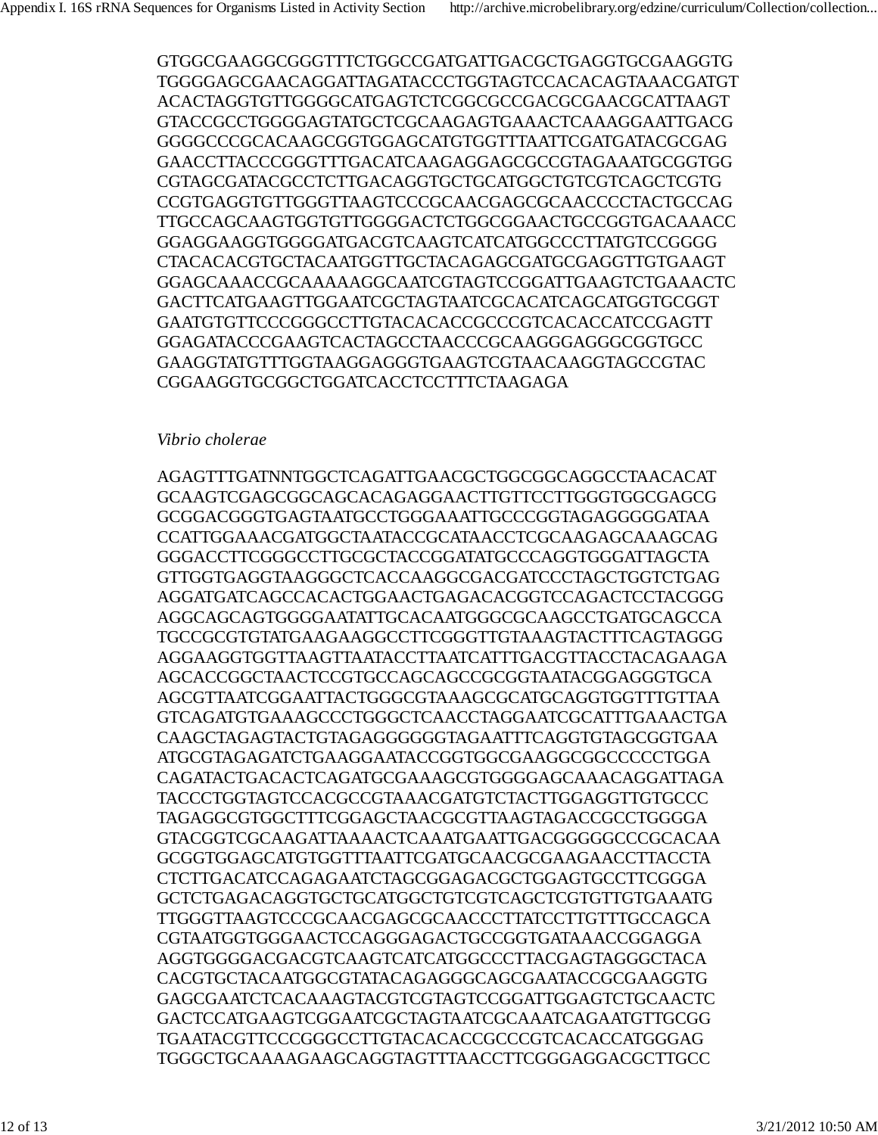GTGGCGAAGGCGGGTTTCTGGCCGATGATTGACGCTGAGGTGCGAAGGTG TGGGGAGCGAACAGGATTAGATACCCTGGTAGTCCACACAGTAAACGATGT ACACTAGGTGTTGGGGCATGAGTCTCGGCGCCGACGCGAACGCATTAAGT GTACCGCCTGGGGAGTATGCTCGCAAGAGTGAAACTCAAAGGAATTGACG GGGGCCCGCACAAGCGGTGGAGCATGTGGTTTAATTCGATGATACGCGAG GAACCTTACCCGGGTTTGACATCAAGAGGAGCGCCGTAGAAATGCGGTGG CGTAGCGATACGCCTCTTGACAGGTGCTGCATGGCTGTCGTCAGCTCGTG CCGTGAGGTGTTGGGTTAAGTCCCGCAACGAGCGCAACCCCTACTGCCAG TTGCCAGCAAGTGGTGTTGGGGACTCTGGCGGAACTGCCGGTGACAAACC GGAGGAAGGTGGGGATGACGTCAAGTCATCATGGCCCTTATGTCCGGGG CTACACACGTGCTACAATGGTTGCTACAGAGCGATGCGAGGTTGTGAAGT GGAGCAAACCGCAAAAAGGCAATCGTAGTCCGGATTGAAGTCTGAAACTC GACTTCATGAAGTTGGAATCGCTAGTAATCGCACATCAGCATGGTGCGGT GAATGTGTTCCCGGGCCTTGTACACACCGCCCGTCACACCATCCGAGTT GGAGATACCCGAAGTCACTAGCCTAACCCGCAAGGGAGGGCGGTGCC GAAGGTATGTTTGGTAAGGAGGGTGAAGTCGTAACAAGGTAGCCGTAC CGGAAGGTGCGGCTGGATCACCTCCTTTCTAAGAGA

### *Vibrio cholerae*

AGAGTTTGATNNTGGCTCAGATTGAACGCTGGCGGCAGGCCTAACACAT GCAAGTCGAGCGGCAGCACAGAGGAACTTGTTCCTTGGGTGGCGAGCG GCGGACGGGTGAGTAATGCCTGGGAAATTGCCCGGTAGAGGGGGATAA CCATTGGAAACGATGGCTAATACCGCATAACCTCGCAAGAGCAAAGCAG GGGACCTTCGGGCCTTGCGCTACCGGATATGCCCAGGTGGGATTAGCTA GTTGGTGAGGTAAGGGCTCACCAAGGCGACGATCCCTAGCTGGTCTGAG AGGATGATCAGCCACACTGGAACTGAGACACGGTCCAGACTCCTACGGG AGGCAGCAGTGGGGAATATTGCACAATGGGCGCAAGCCTGATGCAGCCA TGCCGCGTGTATGAAGAAGGCCTTCGGGTTGTAAAGTACTTTCAGTAGGG AGGAAGGTGGTTAAGTTAATACCTTAATCATTTGACGTTACCTACAGAAGA AGCACCGGCTAACTCCGTGCCAGCAGCCGCGGTAATACGGAGGGTGCA AGCGTTAATCGGAATTACTGGGCGTAAAGCGCATGCAGGTGGTTTGTTAA GTCAGATGTGAAAGCCCTGGGCTCAACCTAGGAATCGCATTTGAAACTGA CAAGCTAGAGTACTGTAGAGGGGGGTAGAATTTCAGGTGTAGCGGTGAA ATGCGTAGAGATCTGAAGGAATACCGGTGGCGAAGGCGGCCCCCTGGA CAGATACTGACACTCAGATGCGAAAGCGTGGGGAGCAAACAGGATTAGA TACCCTGGTAGTCCACGCCGTAAACGATGTCTACTTGGAGGTTGTGCCC TAGAGGCGTGGCTTTCGGAGCTAACGCGTTAAGTAGACCGCCTGGGGA GTACGGTCGCAAGATTAAAACTCAAATGAATTGACGGGGGCCCGCACAA GCGGTGGAGCATGTGGTTTAATTCGATGCAACGCGAAGAACCTTACCTA CTCTTGACATCCAGAGAATCTAGCGGAGACGCTGGAGTGCCTTCGGGA GCTCTGAGACAGGTGCTGCATGGCTGTCGTCAGCTCGTGTTGTGAAATG TTGGGTTAAGTCCCGCAACGAGCGCAACCCTTATCCTTGTTTGCCAGCA CGTAATGGTGGGAACTCCAGGGAGACTGCCGGTGATAAACCGGAGGA AGGTGGGGACGACGTCAAGTCATCATGGCCCTTACGAGTAGGGCTACA CACGTGCTACAATGGCGTATACAGAGGGCAGCGAATACCGCGAAGGTG GAGCGAATCTCACAAAGTACGTCGTAGTCCGGATTGGAGTCTGCAACTC GACTCCATGAAGTCGGAATCGCTAGTAATCGCAAATCAGAATGTTGCGG TGAATACGTTCCCGGGCCTTGTACACACCGCCCGTCACACCATGGGAG TGGGCTGCAAAAGAAGCAGGTAGTTTAACCTTCGGGAGGACGCTTGCC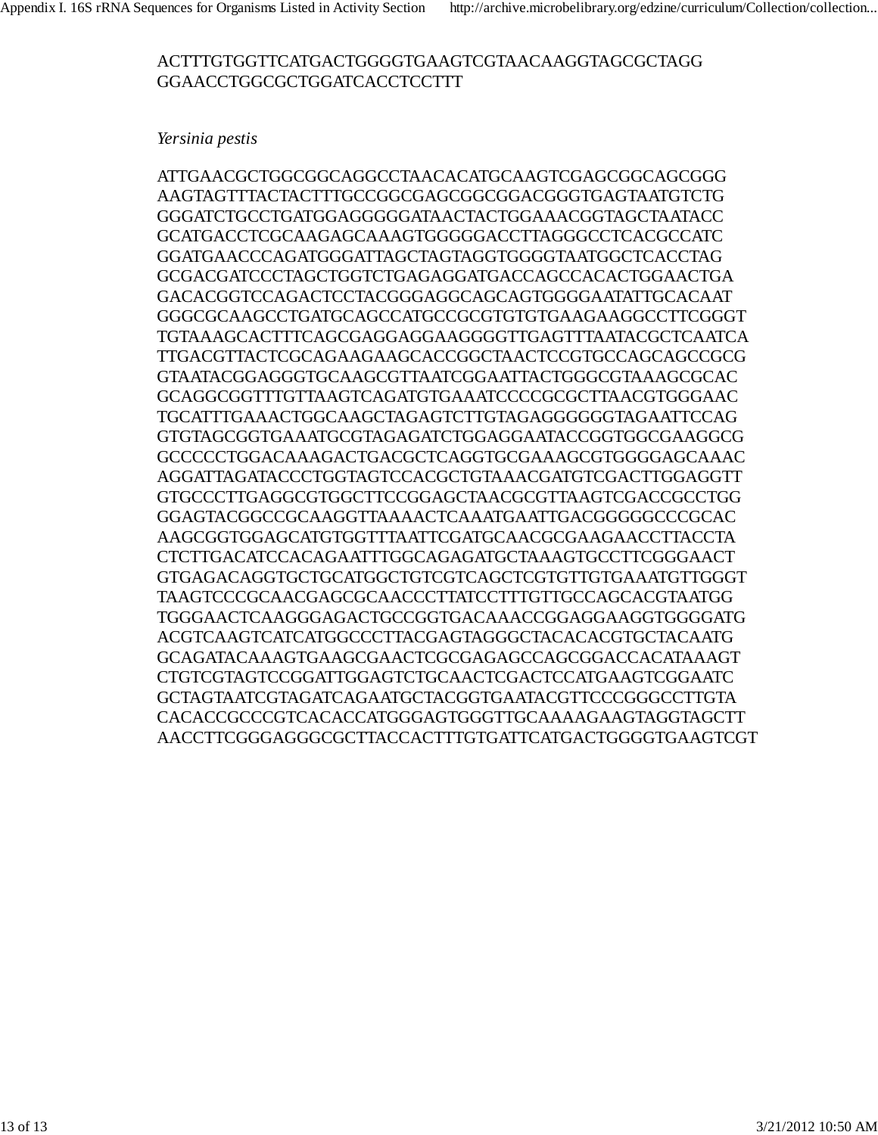### ACTTTGTGGTTCATGACTGGGGTGAAGTCGTAACAAGGTAGCGCTAGG GGAACCTGGCGCTGGATCACCTCCTTT

#### *Yersinia pestis*

ATTGAACGCTGGCGGCAGGCCTAACACATGCAAGTCGAGCGGCAGCGGG AAGTAGTTTACTACTTTGCCGGCGAGCGGCGGACGGGTGAGTAATGTCTG GGGATCTGCCTGATGGAGGGGGATAACTACTGGAAACGGTAGCTAATACC GCATGACCTCGCAAGAGCAAAGTGGGGGACCTTAGGGCCTCACGCCATC GGATGAACCCAGATGGGATTAGCTAGTAGGTGGGGTAATGGCTCACCTAG GCGACGATCCCTAGCTGGTCTGAGAGGATGACCAGCCACACTGGAACTGA GACACGGTCCAGACTCCTACGGGAGGCAGCAGTGGGGAATATTGCACAAT GGGCGCAAGCCTGATGCAGCCATGCCGCGTGTGTGAAGAAGGCCTTCGGGT TGTAAAGCACTTTCAGCGAGGAGGAAGGGGTTGAGTTTAATACGCTCAATCA TTGACGTTACTCGCAGAAGAAGCACCGGCTAACTCCGTGCCAGCAGCCGCG GTAATACGGAGGGTGCAAGCGTTAATCGGAATTACTGGGCGTAAAGCGCAC GCAGGCGGTTTGTTAAGTCAGATGTGAAATCCCCGCGCTTAACGTGGGAAC TGCATTTGAAACTGGCAAGCTAGAGTCTTGTAGAGGGGGGTAGAATTCCAG GTGTAGCGGTGAAATGCGTAGAGATCTGGAGGAATACCGGTGGCGAAGGCG GCCCCCTGGACAAAGACTGACGCTCAGGTGCGAAAGCGTGGGGAGCAAAC AGGATTAGATACCCTGGTAGTCCACGCTGTAAACGATGTCGACTTGGAGGTT GTGCCCTTGAGGCGTGGCTTCCGGAGCTAACGCGTTAAGTCGACCGCCTGG GGAGTACGGCCGCAAGGTTAAAACTCAAATGAATTGACGGGGGCCCGCAC AAGCGGTGGAGCATGTGGTTTAATTCGATGCAACGCGAAGAACCTTACCTA CTCTTGACATCCACAGAATTTGGCAGAGATGCTAAAGTGCCTTCGGGAACT GTGAGACAGGTGCTGCATGGCTGTCGTCAGCTCGTGTTGTGAAATGTTGGGT TAAGTCCCGCAACGAGCGCAACCCTTATCCTTTGTTGCCAGCACGTAATGG TGGGAACTCAAGGGAGACTGCCGGTGACAAACCGGAGGAAGGTGGGGATG ACGTCAAGTCATCATGGCCCTTACGAGTAGGGCTACACACGTGCTACAATG GCAGATACAAAGTGAAGCGAACTCGCGAGAGCCAGCGGACCACATAAAGT CTGTCGTAGTCCGGATTGGAGTCTGCAACTCGACTCCATGAAGTCGGAATC GCTAGTAATCGTAGATCAGAATGCTACGGTGAATACGTTCCCGGGCCTTGTA CACACCGCCCGTCACACCATGGGAGTGGGTTGCAAAAGAAGTAGGTAGCTT AACCTTCGGGAGGGCGCTTACCACTTTGTGATTCATGACTGGGGTGAAGTCGT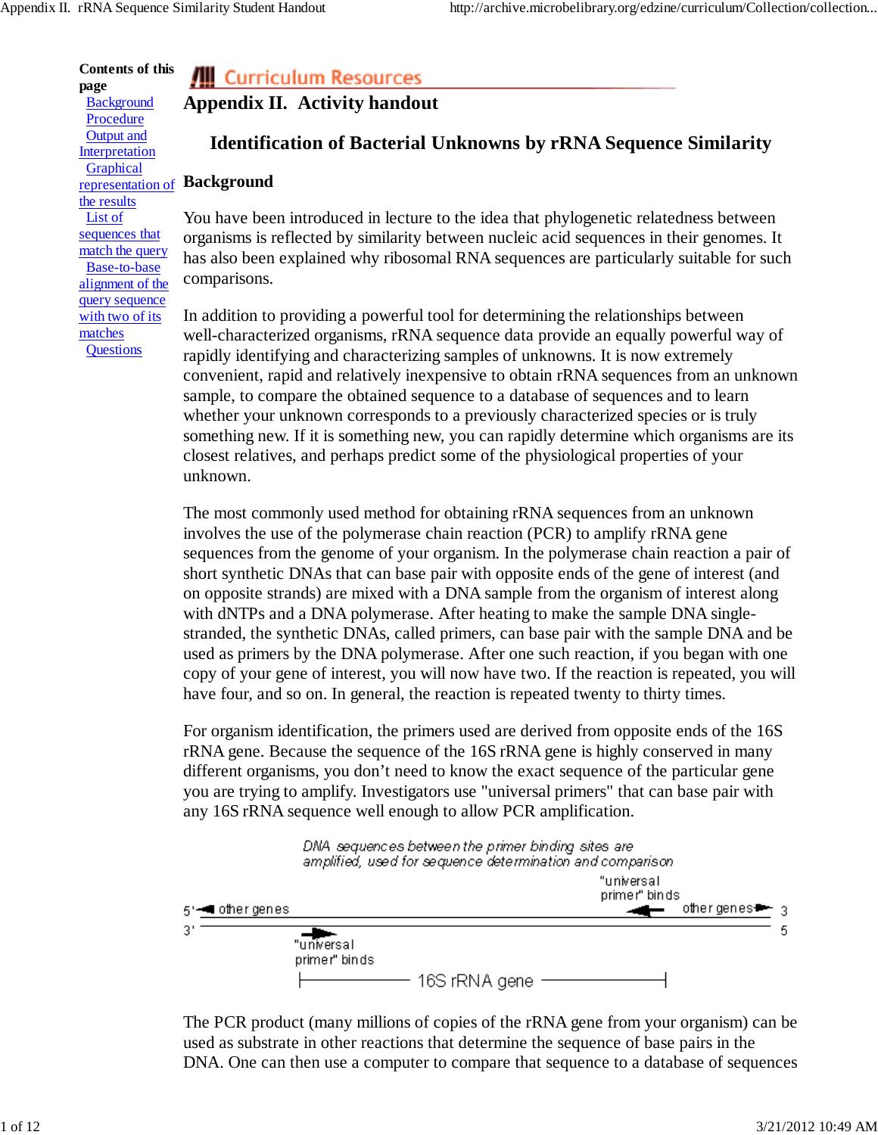**Contents of this page Background Procedure** Output and **Interpretation** Graphical the results List of sequences that match the query Base-to-base alignment of the query sequence with two of its matches

**Questions** 

# **All Curriculum Resources**

# **Appendix II. Activity handout**

# **Identification of Bacterial Unknowns by rRNA Sequence Similarity**

## representation of **Background**

You have been introduced in lecture to the idea that phylogenetic relatedness between organisms is reflected by similarity between nucleic acid sequences in their genomes. It has also been explained why ribosomal RNA sequences are particularly suitable for such comparisons.

In addition to providing a powerful tool for determining the relationships between well-characterized organisms, rRNA sequence data provide an equally powerful way of rapidly identifying and characterizing samples of unknowns. It is now extremely convenient, rapid and relatively inexpensive to obtain rRNA sequences from an unknown sample, to compare the obtained sequence to a database of sequences and to learn whether your unknown corresponds to a previously characterized species or is truly something new. If it is something new, you can rapidly determine which organisms are its closest relatives, and perhaps predict some of the physiological properties of your unknown.

The most commonly used method for obtaining rRNA sequences from an unknown involves the use of the polymerase chain reaction (PCR) to amplify rRNA gene sequences from the genome of your organism. In the polymerase chain reaction a pair of short synthetic DNAs that can base pair with opposite ends of the gene of interest (and on opposite strands) are mixed with a DNA sample from the organism of interest along with dNTPs and a DNA polymerase. After heating to make the sample DNA singlestranded, the synthetic DNAs, called primers, can base pair with the sample DNA and be used as primers by the DNA polymerase. After one such reaction, if you began with one copy of your gene of interest, you will now have two. If the reaction is repeated, you will have four, and so on. In general, the reaction is repeated twenty to thirty times.

For organism identification, the primers used are derived from opposite ends of the 16S rRNA gene. Because the sequence of the 16S rRNA gene is highly conserved in many different organisms, you don't need to know the exact sequence of the particular gene you are trying to amplify. Investigators use "universal primers" that can base pair with any 16S rRNA sequence well enough to allow PCR amplification.



The PCR product (many millions of copies of the rRNA gene from your organism) can be used as substrate in other reactions that determine the sequence of base pairs in the DNA. One can then use a computer to compare that sequence to a database of sequences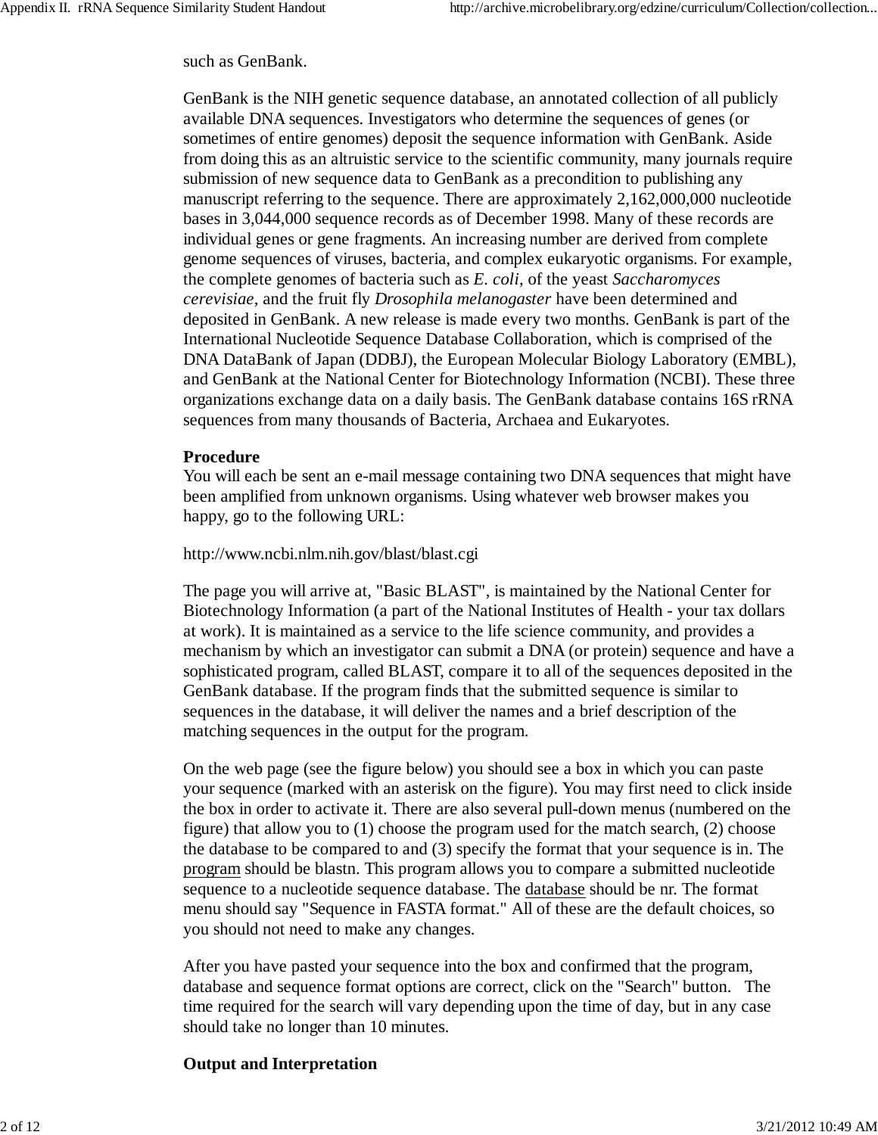such as GenBank.

GenBank is the NIH genetic sequence database, an annotated collection of all publicly available DNA sequences. Investigators who determine the sequences of genes (or sometimes of entire genomes) deposit the sequence information with GenBank. Aside from doing this as an altruistic service to the scientific community, many journals require submission of new sequence data to GenBank as a precondition to publishing any manuscript referring to the sequence. There are approximately 2,162,000,000 nucleotide bases in 3,044,000 sequence records as of December 1998. Many of these records are individual genes or gene fragments. An increasing number are derived from complete genome sequences of viruses, bacteria, and complex eukaryotic organisms. For example, the complete genomes of bacteria such as *E. coli*, of the yeast *Saccharomyces cerevisiae*, and the fruit fly *Drosophila melanogaster* have been determined and deposited in GenBank. A new release is made every two months. GenBank is part of the International Nucleotide Sequence Database Collaboration, which is comprised of the DNA DataBank of Japan (DDBJ), the European Molecular Biology Laboratory (EMBL), and GenBank at the National Center for Biotechnology Information (NCBI). These three organizations exchange data on a daily basis. The GenBank database contains 16S rRNA sequences from many thousands of Bacteria, Archaea and Eukaryotes.

### **Procedure**

You will each be sent an e-mail message containing two DNA sequences that might have been amplified from unknown organisms. Using whatever web browser makes you happy, go to the following URL:

http://www.ncbi.nlm.nih.gov/blast/blast.cgi

The page you will arrive at, "Basic BLAST", is maintained by the National Center for Biotechnology Information (a part of the National Institutes of Health - your tax dollars at work). It is maintained as a service to the life science community, and provides a mechanism by which an investigator can submit a DNA (or protein) sequence and have a sophisticated program, called BLAST, compare it to all of the sequences deposited in the GenBank database. If the program finds that the submitted sequence is similar to sequences in the database, it will deliver the names and a brief description of the matching sequences in the output for the program.

On the web page (see the figure below) you should see a box in which you can paste your sequence (marked with an asterisk on the figure). You may first need to click inside the box in order to activate it. There are also several pull-down menus (numbered on the figure) that allow you to (1) choose the program used for the match search, (2) choose the database to be compared to and (3) specify the format that your sequence is in. The program should be blastn. This program allows you to compare a submitted nucleotide sequence to a nucleotide sequence database. The database should be nr. The format menu should say "Sequence in FASTA format." All of these are the default choices, so you should not need to make any changes.

After you have pasted your sequence into the box and confirmed that the program, database and sequence format options are correct, click on the "Search" button. The time required for the search will vary depending upon the time of day, but in any case should take no longer than 10 minutes.

# **Output and Interpretation**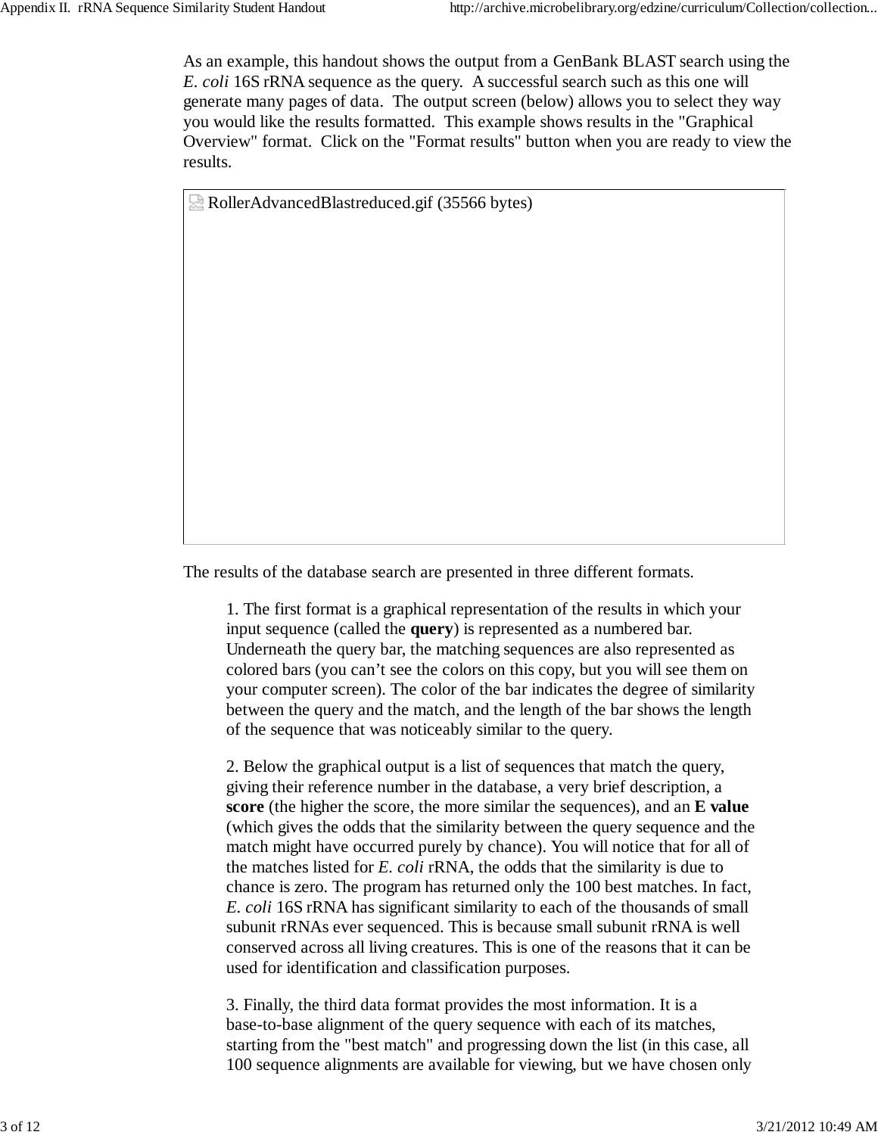As an example, this handout shows the output from a GenBank BLAST search using the *E. coli* 16S rRNA sequence as the query. A successful search such as this one will generate many pages of data. The output screen (below) allows you to select they way you would like the results formatted. This example shows results in the "Graphical Overview" format. Click on the "Format results" button when you are ready to view the results.

RollerAdvancedBlastreduced.gif (35566 bytes)

The results of the database search are presented in three different formats.

1. The first format is a graphical representation of the results in which your input sequence (called the **query**) is represented as a numbered bar. Underneath the query bar, the matching sequences are also represented as colored bars (you can't see the colors on this copy, but you will see them on your computer screen). The color of the bar indicates the degree of similarity between the query and the match, and the length of the bar shows the length of the sequence that was noticeably similar to the query.

2. Below the graphical output is a list of sequences that match the query, giving their reference number in the database, a very brief description, a **score** (the higher the score, the more similar the sequences), and an **E value** (which gives the odds that the similarity between the query sequence and the match might have occurred purely by chance). You will notice that for all of the matches listed for *E. coli* rRNA, the odds that the similarity is due to chance is zero. The program has returned only the 100 best matches. In fact, *E. coli* 16S rRNA has significant similarity to each of the thousands of small subunit rRNAs ever sequenced. This is because small subunit rRNA is well conserved across all living creatures. This is one of the reasons that it can be used for identification and classification purposes.

3. Finally, the third data format provides the most information. It is a base-to-base alignment of the query sequence with each of its matches, starting from the "best match" and progressing down the list (in this case, all 100 sequence alignments are available for viewing, but we have chosen only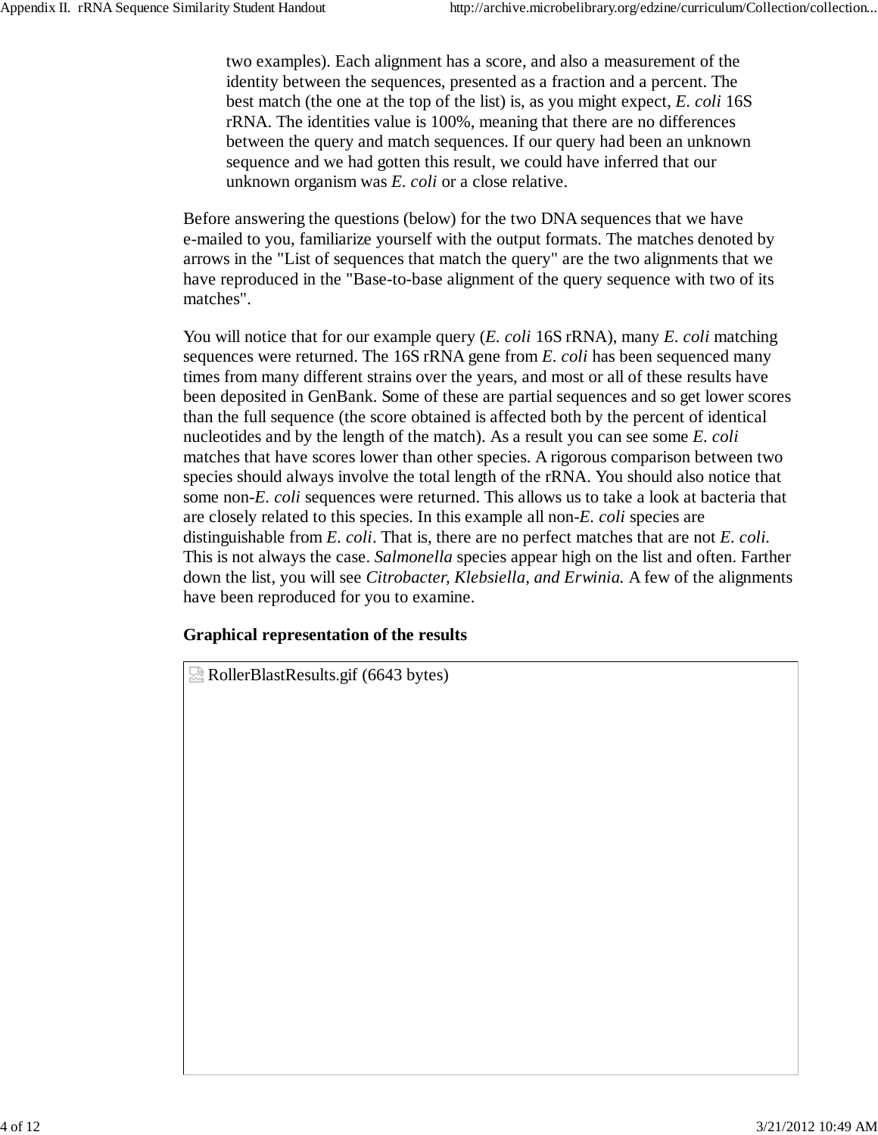two examples). Each alignment has a score, and also a measurement of the identity between the sequences, presented as a fraction and a percent. The best match (the one at the top of the list) is, as you might expect, *E. coli* 16S rRNA. The identities value is 100%, meaning that there are no differences between the query and match sequences. If our query had been an unknown sequence and we had gotten this result, we could have inferred that our unknown organism was *E. coli* or a close relative.

Before answering the questions (below) for the two DNA sequences that we have e-mailed to you, familiarize yourself with the output formats. The matches denoted by arrows in the "List of sequences that match the query" are the two alignments that we have reproduced in the "Base-to-base alignment of the query sequence with two of its matches".

You will notice that for our example query (*E. coli* 16S rRNA), many *E. coli* matching sequences were returned. The 16S rRNA gene from *E. coli* has been sequenced many times from many different strains over the years, and most or all of these results have been deposited in GenBank. Some of these are partial sequences and so get lower scores than the full sequence (the score obtained is affected both by the percent of identical nucleotides and by the length of the match). As a result you can see some *E. coli* matches that have scores lower than other species. A rigorous comparison between two species should always involve the total length of the rRNA. You should also notice that some non-*E. coli* sequences were returned. This allows us to take a look at bacteria that are closely related to this species. In this example all non-*E. coli* species are distinguishable from *E. coli*. That is, there are no perfect matches that are not *E. coli.* This is not always the case. *Salmonella* species appear high on the list and often. Farther down the list, you will see *Citrobacter, Klebsiella, and Erwinia.* A few of the alignments have been reproduced for you to examine.

# **Graphical representation of the results**

RollerBlastResults.gif (6643 bytes)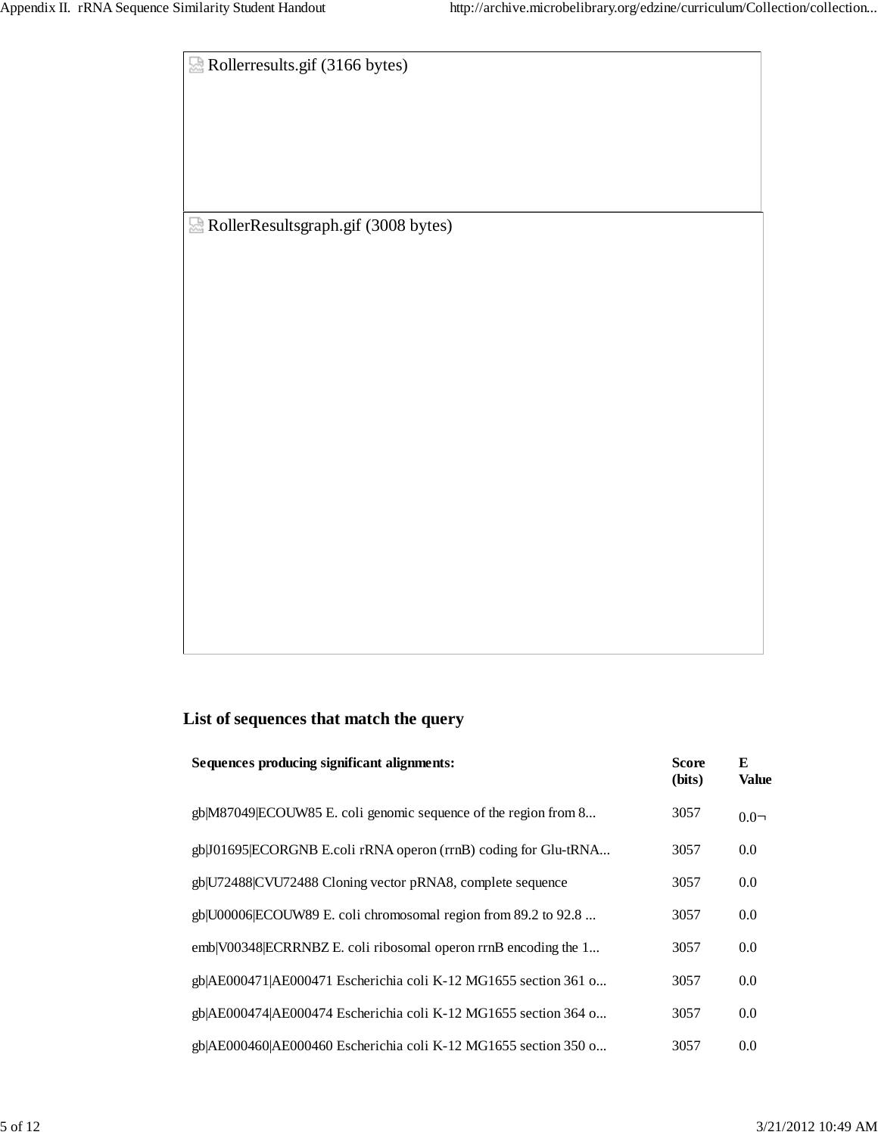Rollerresults.gif (3166 bytes) RollerResultsgraph.gif (3008 bytes)

# **List of sequences that match the query**

| Sequences producing significant alignments:                     | <b>Score</b><br>(bits) | E<br><b>Value</b> |
|-----------------------------------------------------------------|------------------------|-------------------|
| gb M87049 ECOUW85 E. coli genomic sequence of the region from 8 | 3057                   | $0.0-$            |
| gb J01695 ECORGNB E.coli rRNA operon (rrnB) coding for Glu-tRNA | 3057                   | 0.0               |
| gb U72488 CVU72488 Cloning vector pRNA8, complete sequence      | 3057                   | 0.0               |
| gb U00006 ECOUW89 E. coli chromosomal region from 89.2 to 92.8  | 3057                   | 0.0               |
| emb V00348 ECRRNBZ E. coli ribosomal operon rrnB encoding the 1 | 3057                   | 0.0               |
| gb AE000471 AE000471 Escherichia coli K-12 MG1655 section 361 o | 3057                   | 0.0               |
| gb AE000474 AE000474 Escherichia coli K-12 MG1655 section 364 o | 3057                   | 0.0               |
| gb AE000460 AE000460 Escherichia coli K-12 MG1655 section 350 o | 3057                   | 0.0               |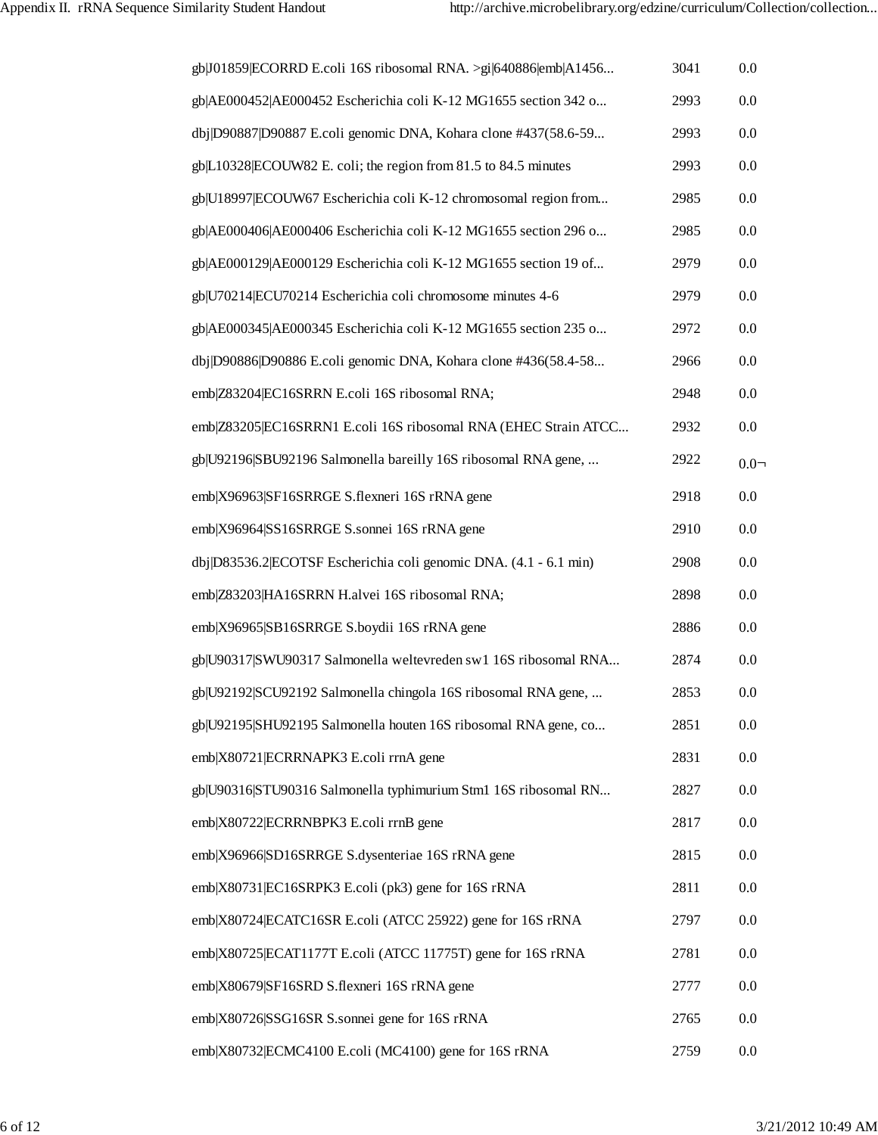| gb J01859 ECORRD E.coli 16S ribosomal RNA. >gi 640886 emb A1456   | 3041 | 0.0     |
|-------------------------------------------------------------------|------|---------|
| gb AE000452 AE000452 Escherichia coli K-12 MG1655 section 342 o   | 2993 | 0.0     |
| dbj D90887 D90887 E.coli genomic DNA, Kohara clone #437(58.6-59   | 2993 | 0.0     |
| gb L10328 ECOUW82 E. coli; the region from 81.5 to 84.5 minutes   | 2993 | 0.0     |
| gb U18997 ECOUW67 Escherichia coli K-12 chromosomal region from   | 2985 | 0.0     |
| gb AE000406 AE000406 Escherichia coli K-12 MG1655 section 296 o   | 2985 | 0.0     |
| gb AE000129 AE000129 Escherichia coli K-12 MG1655 section 19 of   | 2979 | 0.0     |
| gb U70214 ECU70214 Escherichia coli chromosome minutes 4-6        | 2979 | 0.0     |
| gb AE000345 AE000345 Escherichia coli K-12 MG1655 section 235 o   | 2972 | 0.0     |
| dbj D90886 D90886 E.coli genomic DNA, Kohara clone #436(58.4-58   | 2966 | 0.0     |
| emb Z83204 EC16SRRN E.coli 16S ribosomal RNA;                     | 2948 | 0.0     |
| emb Z83205 EC16SRRN1 E.coli 16S ribosomal RNA (EHEC Strain ATCC   | 2932 | 0.0     |
| gb U92196 SBU92196 Salmonella bareilly 16S ribosomal RNA gene,    | 2922 | $0.0 -$ |
| emb X96963 SF16SRRGE S.flexneri 16S rRNA gene                     | 2918 | 0.0     |
| emb X96964 SS16SRRGE S.sonnei 16S rRNA gene                       | 2910 | 0.0     |
| dbj D83536.2 ECOTSF Escherichia coli genomic DNA. (4.1 - 6.1 min) | 2908 | 0.0     |
| emb Z83203 HA16SRRN H.alvei 16S ribosomal RNA;                    | 2898 | 0.0     |
| emb X96965 SB16SRRGE S.boydii 16S rRNA gene                       | 2886 | 0.0     |
| gb U90317 SWU90317 Salmonella weltevreden sw1 16S ribosomal RNA   | 2874 | 0.0     |
| gb U92192 SCU92192 Salmonella chingola 16S ribosomal RNA gene,    | 2853 | 0.0     |
| gb U92195 SHU92195 Salmonella houten 16S ribosomal RNA gene, co   | 2851 | 0.0     |
| emb X80721 ECRRNAPK3 E.coli rrnA gene                             | 2831 | 0.0     |
| gb U90316 STU90316 Salmonella typhimurium Stm1 16S ribosomal RN   | 2827 | 0.0     |
| emb X80722 ECRRNBPK3 E.coli rrnB gene                             | 2817 | 0.0     |
| emb X96966 SD16SRRGE S.dysenteriae 16S rRNA gene                  | 2815 | 0.0     |
| emb X80731 EC16SRPK3 E.coli (pk3) gene for 16S rRNA               | 2811 | 0.0     |
| emb X80724 ECATC16SR E.coli (ATCC 25922) gene for 16S rRNA        | 2797 | 0.0     |
| emb X80725 ECAT1177T E.coli (ATCC 11775T) gene for 16S rRNA       | 2781 | 0.0     |
| emb X80679 SF16SRD S.flexneri 16S rRNA gene                       | 2777 | 0.0     |
| emb X80726 SSG16SR S.sonnei gene for 16S rRNA                     | 2765 | 0.0     |
| emb X80732 ECMC4100 E.coli (MC4100) gene for 16S rRNA             | 2759 | 0.0     |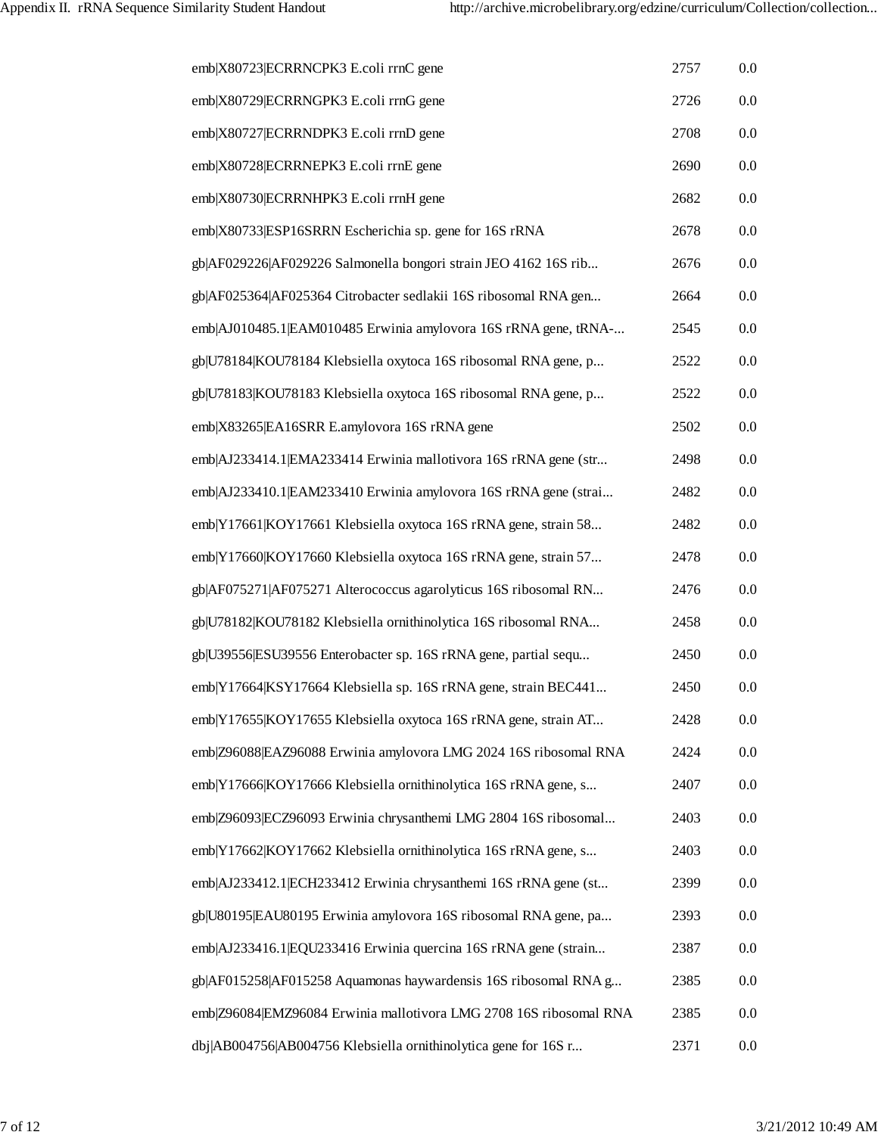| emb X80723 ECRRNCPK3 E.coli rrnC gene                              | 2757 | 0.0 |
|--------------------------------------------------------------------|------|-----|
| emb X80729 ECRRNGPK3 E.coli rrnG gene                              | 2726 | 0.0 |
| emb X80727 ECRRNDPK3 E.coli rrnD gene                              | 2708 | 0.0 |
| emb X80728 ECRRNEPK3 E.coli rrnE gene                              | 2690 | 0.0 |
| emb X80730 ECRRNHPK3 E.coli rrnH gene                              | 2682 | 0.0 |
| emb X80733 ESP16SRRN Escherichia sp. gene for 16S rRNA             | 2678 | 0.0 |
| gb AF029226 AF029226 Salmonella bongori strain JEO 4162 16S rib    | 2676 | 0.0 |
| gb AF025364 AF025364 Citrobacter sedlakii 16S ribosomal RNA gen    | 2664 | 0.0 |
| emb AJ010485.1 EAM010485 Erwinia amylovora 16S rRNA gene, tRNA-    | 2545 | 0.0 |
| gb U78184 KOU78184 Klebsiella oxytoca 16S ribosomal RNA gene, p    | 2522 | 0.0 |
| gb U78183 KOU78183 Klebsiella oxytoca 16S ribosomal RNA gene, p    | 2522 | 0.0 |
| emb X83265 EA16SRR E.amylovora 16S rRNA gene                       | 2502 | 0.0 |
| emb AJ233414.1 EMA233414 Erwinia mallotivora 16S rRNA gene (str    | 2498 | 0.0 |
| emb AJ233410.1 EAM233410 Erwinia amylovora 16S rRNA gene (strai    | 2482 | 0.0 |
| emb Y17661 KOY17661 Klebsiella oxytoca 16S rRNA gene, strain 58    | 2482 | 0.0 |
| emb Y17660 KOY17660 Klebsiella oxytoca 16S rRNA gene, strain 57    | 2478 | 0.0 |
| gb AF075271 AF075271 Alterococcus agarolyticus 16S ribosomal RN    | 2476 | 0.0 |
| gb U78182 KOU78182 Klebsiella ornithinolytica 16S ribosomal RNA    | 2458 | 0.0 |
| gb U39556 ESU39556 Enterobacter sp. 16S rRNA gene, partial sequ    | 2450 | 0.0 |
| emb Y17664 KSY17664 Klebsiella sp. 16S rRNA gene, strain BEC441    | 2450 | 0.0 |
| emb Y17655 KOY17655 Klebsiella oxytoca 16S rRNA gene, strain AT    | 2428 | 0.0 |
| emb Z96088 EAZ96088 Erwinia amylovora LMG 2024 16S ribosomal RNA   | 2424 | 0.0 |
| emb Y17666 KOY17666 Klebsiella ornithinolytica 16S rRNA gene, s    | 2407 | 0.0 |
| emb Z96093 ECZ96093 Erwinia chrysanthemi LMG 2804 16S ribosomal    | 2403 | 0.0 |
| emb Y17662 KOY17662 Klebsiella ornithinolytica 16S rRNA gene, s    | 2403 | 0.0 |
| emb AJ233412.1 ECH233412 Erwinia chrysanthemi 16S rRNA gene (st    | 2399 | 0.0 |
| gb U80195 EAU80195 Erwinia amylovora 16S ribosomal RNA gene, pa    | 2393 | 0.0 |
| emb AJ233416.1 EQU233416 Erwinia quercina 16S rRNA gene (strain    | 2387 | 0.0 |
| gb AF015258 AF015258 Aquamonas haywardensis 16S ribosomal RNA g    | 2385 | 0.0 |
| emb Z96084 EMZ96084 Erwinia mallotivora LMG 2708 16S ribosomal RNA | 2385 | 0.0 |
| dbj AB004756 AB004756 Klebsiella ornithinolytica gene for 16S r    | 2371 | 0.0 |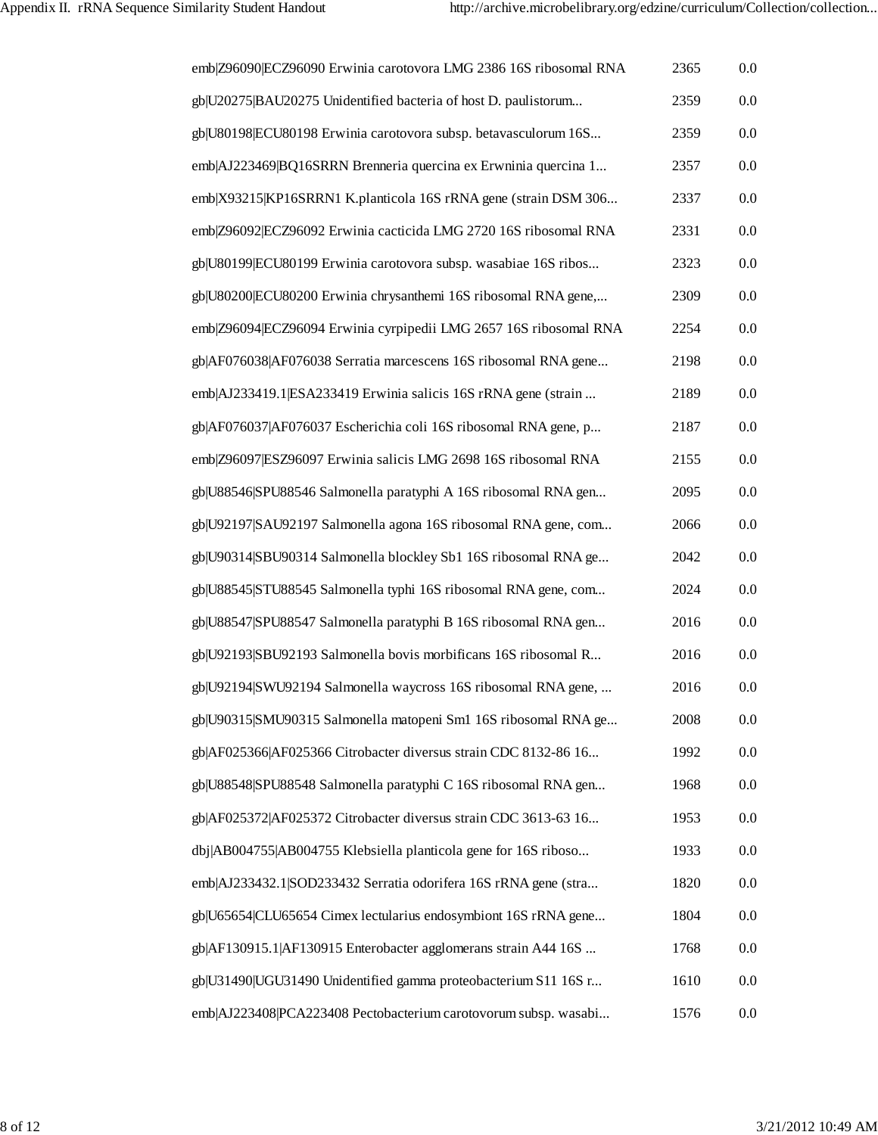| emb Z96090 ECZ96090 Erwinia carotovora LMG 2386 16S ribosomal RNA | 2365 | 0.0 |
|-------------------------------------------------------------------|------|-----|
| gb U20275 BAU20275 Unidentified bacteria of host D. paulistorum   | 2359 | 0.0 |
| gb U80198 ECU80198 Erwinia carotovora subsp. betavasculorum 16S   | 2359 | 0.0 |
| emb AJ223469 BQ16SRRN Brenneria quercina ex Erwninia quercina 1   | 2357 | 0.0 |
| emb X93215 KP16SRRN1 K.planticola 16S rRNA gene (strain DSM 306   | 2337 | 0.0 |
| emb Z96092 ECZ96092 Erwinia cacticida LMG 2720 16S ribosomal RNA  | 2331 | 0.0 |
| gb U80199 ECU80199 Erwinia carotovora subsp. wasabiae 16S ribos   | 2323 | 0.0 |
| gb U80200 ECU80200 Erwinia chrysanthemi 16S ribosomal RNA gene,   | 2309 | 0.0 |
| emb Z96094 ECZ96094 Erwinia cyrpipedii LMG 2657 16S ribosomal RNA | 2254 | 0.0 |
| gb AF076038 AF076038 Serratia marcescens 16S ribosomal RNA gene   | 2198 | 0.0 |
| emb AJ233419.1 ESA233419 Erwinia salicis 16S rRNA gene (strain    | 2189 | 0.0 |
| gb AF076037 AF076037 Escherichia coli 16S ribosomal RNA gene, p   | 2187 | 0.0 |
| emb Z96097 ESZ96097 Erwinia salicis LMG 2698 16S ribosomal RNA    | 2155 | 0.0 |
| gb U88546 SPU88546 Salmonella paratyphi A 16S ribosomal RNA gen   | 2095 | 0.0 |
| gb U92197 SAU92197 Salmonella agona 16S ribosomal RNA gene, com   | 2066 | 0.0 |
| gb U90314 SBU90314 Salmonella blockley Sb1 16S ribosomal RNA ge   | 2042 | 0.0 |
| gb U88545 STU88545 Salmonella typhi 16S ribosomal RNA gene, com   | 2024 | 0.0 |
| gb U88547 SPU88547 Salmonella paratyphi B 16S ribosomal RNA gen   | 2016 | 0.0 |
| gb U92193 SBU92193 Salmonella bovis morbificans 16S ribosomal R   | 2016 | 0.0 |
| gb U92194 SWU92194 Salmonella waycross 16S ribosomal RNA gene,    | 2016 | 0.0 |
| gb U90315 SMU90315 Salmonella matopeni Sm1 16S ribosomal RNA ge   | 2008 | 0.0 |
| gb AF025366 AF025366 Citrobacter diversus strain CDC 8132-86 16   | 1992 | 0.0 |
| gb U88548 SPU88548 Salmonella paratyphi C 16S ribosomal RNA gen   | 1968 | 0.0 |
| gb AF025372 AF025372 Citrobacter diversus strain CDC 3613-63 16   | 1953 | 0.0 |
| dbj AB004755 AB004755 Klebsiella planticola gene for 16S riboso   | 1933 | 0.0 |
| emb AJ233432.1 SOD233432 Serratia odorifera 16S rRNA gene (stra   | 1820 | 0.0 |
| gb U65654 CLU65654 Cimex lectularius endosymbiont 16S rRNA gene   | 1804 | 0.0 |
| gb AF130915.1 AF130915 Enterobacter agglomerans strain A44 16S    | 1768 | 0.0 |
| gb U31490 UGU31490 Unidentified gamma proteobacterium S11 16S r   | 1610 | 0.0 |
| emb AJ223408 PCA223408 Pectobacterium carotovorum subsp. wasabi   | 1576 | 0.0 |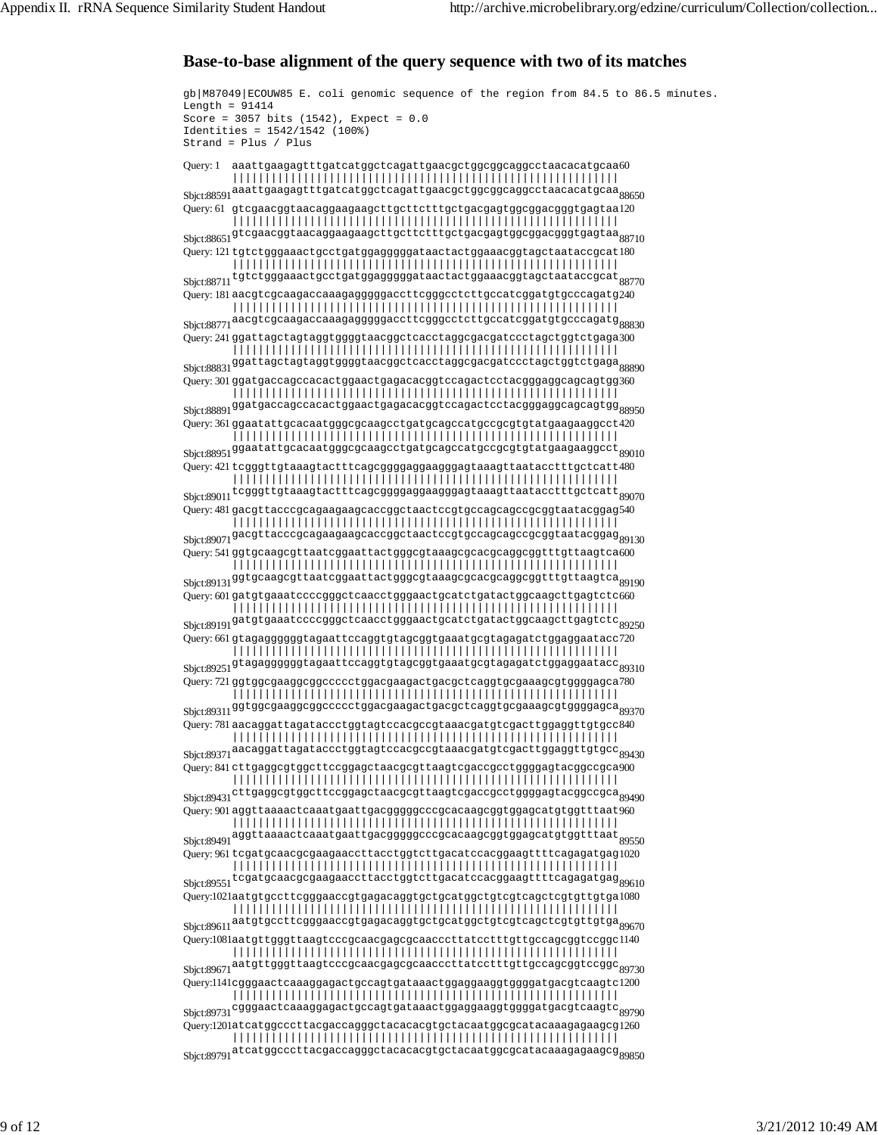### **Base-to-base alignment of the query sequence with two of its matches**

gb|M87049|ECOUW85 E. coli genomic sequence of the region from 84.5 to 86.5 minutes. Length =  $91414$ Score =  $3057$  bits (1542), Expect =  $0.0$ Identities = 1542/1542 (100%) Strand = Plus / Plus Query: 1 Sbjct:88591 aaattgaagagtttgatcatggctcagattgaacgctggcggcaggcctaacacatgcaa 88650  ${\tt a}$ a ${\tt at}$ ga ${\tt y}$ at ${\tt c}$ atc ${\tt at}$ gg ${\tt c}$ t ${\tt c}$ agattg ${\tt a}$ ac ${\tt c}$ ggcgg ${\tt c}$ aggc ${\tt c}$ taa ${\tt c}$ a ${\tt c}$ a ${\tt c}$ a ${\tt c}$ |||||||||||||||||||||||||||||||||||||||||||||||||||||||||||| Query: 61 gtcgaacggtaacaggaagaagcttgcttctttgctgacgagtggcggacgggtgagtaa 120  ${\rm S}$ bj ${\rm ct:}88651^{\rm g}$ t ${\rm c}$ gaacgg ${\rm t}$ aacaggaagag ${\rm ct}$ t ${\rm ct}$ t ${\rm ct}$ t ${\rm t}$ gc ${\rm d}$ gacgag ${\rm t}$ gggacggg ${\rm t}$ gag ${\rm t}$ aa $_{88710}$ |||||||||||||||||||||||||||||||||||||||||||||||||||||||||||| Query: 121 tgtctgggaaactgcctgatggagggggataactactggaaacggtagctaataccgcat 180  ${\rm S}$ bjct: $88711^{\rm t}$ gt ${\rm ct}$ gggaaa ${\rm ct}$ g ${\rm ct}$ gatgggggga ${\rm ta}$ a ${\rm ct}$ a ${\rm ct}$ ggaa ${\rm ac}$ ggtag ${\rm ct}$ a ${\rm ac}$ g ${\rm ca}$ t $_{88770}$ |||||||||||||||||||||||||||||||||||||||||||||||||||||||||||| Query: 181 aacgtcgcaagaccaaagagggggaccttcgggcctcttgccatcggatgtgcccagatg 240 Sbjct:88771 aacgtcgcaagaccaaagagggggaccttcgggcctcttgccatcggatgtgcccagatg 88830 |||||||||||||||||||||||||||||||||||||||||||||||||||||||||||| Query: 241 ggattagctagtaggtggggtaacggctcacctaggcgacgatccctagctggtctgaga 300 Sbjct:88831 ggattagctagtaggtggggtaacggctcacctaggcgacgatccctagctggtctgaga 88890 |||||||||||||||||||||||||||||||||||||||||||||||||||||||||||| Query: 301 ggatgaccagccacactggaactgagacacggtccagactcctacgggaggcagcagtgg 360  ${\rm S}$ bj ${\rm ct:} 88891$ ggatga ${\rm c}$ ccag ${\rm c}$ cacactgga ${\rm c}$ act ${\rm c}$ cagactcctacgggaggcagcagtgg $_{88950}$ ||||||||||||||||||||||||||||||||||||||||||||||||||||||||||||  $\,$ Query: 361 ggaatattg $\,$ cacaatggg $\,$ g $\,$ caag $\,$ c $\,$ tg $\,$ ag $\,$ c $\,$ c $\,$ g $\,$ c $\,$ g $\,$ g $\,$ g $\,$ g $\,$ g $\,$ c $\,$ c $\,$ 4 $\,$ 2 $\,$  ${\rm S}$ bjct: $88951$ <sup>ggaatattgcacaatgggcgcaagcctgatgcagccatgccgcgtgtatgaagaaggcct $_{89010}$ </sup> |||||||||||||||||||||||||||||||||||||||||||||||||||||||||||| Query: 421 tcgggttgtaaagtactttcagcggggaggaagggagtaaagttaatacctttgctcatt 480  ${\rm S}$ bj ${\rm ct:}89011^{\text{te}g}$ ggttgtaaagtactttcagcggggaggaagggagtaaagttaatacctttgctcatt $_{89070}$ |||||||||||||||||||||||||||||||||||||||||||||||||||||||||||| Query: 481 gacgttacccgcagaagaagcaccggctaactccgtgccagcagccgcggtaatacggag 540 Sbjct:89071 ||||||||||||||||||||||||||||||||||||||||||||||||||||||||||||  ${\tt gacyt}$ tacccgcagaagaagcaccggc ${\tt taa}$ c ${\tt ccyt}$ gccagcagccgcgg ${\tt taa}$ tac ${\tt gga}$ g ${\tt gg}$ 1 ${\tt 30}$ Query: 541 ggtgcaagcgttaatcggaattactgggcgtaaagcgcacgcaggcggtttgttaagtca 600 Sbjct:89131 ggtgcaagcgttaatcggaattactgggcgtaaagcgcacgcaggcggtttgttaagtca 89190 |||||||||||||||||||||||||||||||||||||||||||||||||||||||||||| Query: 601 gatgtgaaatccccgggctcaacctgggaactgcatctgatactggcaagcttgagtctc 660  ${\rm S}$ bjct:89191 $^{{\rm g}}$ atgtgaaatccccgggctcaacctgggaactgcatctgatactggcaagcttgagtctc $_{89250}$ |||||||||||||||||||||||||||||||||||||||||||||||||||||||||||| Query: 661 gtagaggggggtagaattccaggtgtagcggtgaaatgcgtagagatctggaggaatacc 720  ${\rm S}$ bj ${\rm ct:}89251$ <sup>gtagaggggggtagaatt ${\rm c}$ caggtgtag ${\rm c}$ ggtgaa ${\rm t}$ agaga ${\rm t}$ atggaggaata ${\rm c}$ c $_{89310}$ </sup> |||||||||||||||||||||||||||||||||||||||||||||||||||||||||||| Query: 721 ggtggcgaaggcggccccctggacgaagactgacgctcaggtgcgaaagcgtggggagca 780  ${\rm S}$ bj ${\rm ct:}89311$ ggtggcgaaggcggccccctggacgaagactgacgctcaggtgcgaaagcgtggggagca $_{89370}$ |||||||||||||||||||||||||||||||||||||||||||||||||||||||||||| Query: 781 aacaggattagataccctggtagtccacgccgtaaacgatgtcgacttggaggttgtgcc 840 Sbjct:89371 aacaggattagataccctggtagtccacgccgtaaacgatgtcgacttggaggttgtgcc 89430 |||||||||||||||||||||||||||||||||||||||||||||||||||||||||||| Query: 841 cttgaggcgtggcttccggagctaacgcgttaagtcgaccgcctggggagtacggccgca 900  ${\rm S}$ bjct: $89431^{\tt ct}$ tgaggcg ${\tt t}$ ggc ${\tt t}$ t ${\tt c}$ ggag ${\tt c}$ gta ${\tt c}$ gcg ${\tt t}$ taag ${\tt t}$ cgg ${\tt c}$ gggag ${\tt c}$ ggag ${\tt c}$ ggag ${\tt c}$ ggag ${\tt c}$ |||||||||||||||||||||||||||||||||||||||||||||||||||||||||||| Query: 901 aggttaaaactcaaatgaattgacgggggcccgcacaagcggtggagcatgtggtttaat 960 Sbjct:89491 aggttaaaactcaaatgaattgacgggggcccgcacaagcggtggagcatgtggtttaat 89550 |||||||||||||||||||||||||||||||||||||||||||||||||||||||||||| Query: 961 tcgatgcaacgcgaagaaccttacctggtcttgacatccacggaagttttcagagatgag 1020  ${\rm S}$ bjct: $89551$ <sup>tcgatgcaacgcgaagaaccttacctggtcttgacatccacggaagttttcagagatgag $_{89610}$ </sup> |||||||||||||||||||||||||||||||||||||||||||||||||||||||||||| Query:1021 aatgtgccttcgggaaccgtgagacaggtgctgcatggctgtcgtcagctcgtgttgtga 1080 Sbjct:89611 aatgtgccttcgggaaccgtgagacaggtgctgcatggctgtcgtcagctcgtgttgtga 89670 |||||||||||||||||||||||||||||||||||||||||||||||||||||||||||| Query:1081 aatgttgggttaagtcccgcaacgagcgcaacccttatcctttgttgccagcggtccggc 1140 Sbjct:89671 aatgttgggttaagtcccgcaacgagcgcaacccttatcctttgttgccagcggtccggc 89730 |||||||||||||||||||||||||||||||||||||||||||||||||||||||||||| Query:1141 cgggaactcaaaggagactgccagtgataaactggaggaaggtggggatgacgtcaagtc 1200 Sbjct:89731 |||||||||||||||||||||||||||||||||||||||||||||||||||||||||||| cgggaactcaaaggagactgccagtgataaactggaggaaggtggggatgacgtcaagtc 89790 Query:1201 atcatggcccttacgaccagggctacacacgtgctacaatggcgcatacaaagagaagcg 1260 Sbjct:89791 atcatggcccttacgaccagggctacacacgtgctacaatggcgcatacaaagagaagcg 89850 ||||||||||||||||||||||||||||||||||||||||||||||||||||||||||||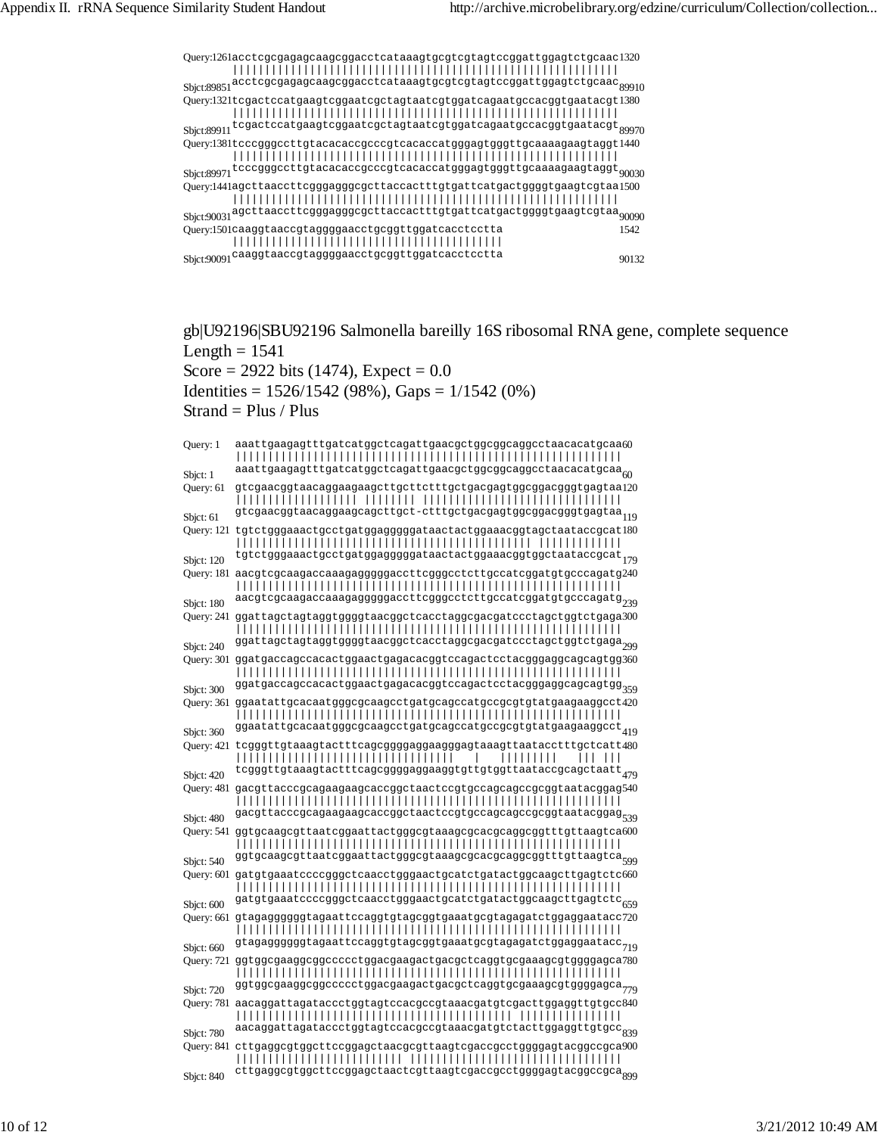

gb|U92196|SBU92196 Salmonella bareilly 16S ribosomal RNA gene, complete sequence Length  $= 1541$ Score = 2922 bits (1474), Expect =  $0.0$ 

Identities =  $1526/1542$  (98%), Gaps =  $1/1542$  (0%)

Strand = Plus / Plus

| Query: 1              | aaattgaagagtttgatcatggctcagattgaacgctggcggcaggcctaacacatgcaa60<br>aaattgaagagtttgatcatggctcagattgaacgctggcggcaggcctaacacatgcaa $\frac{1}{60}$                                                                                |
|-----------------------|------------------------------------------------------------------------------------------------------------------------------------------------------------------------------------------------------------------------------|
| Sbjct: 1<br>Query: 61 | gtcgaacggtaacaggaagaagcttgcttctttgctgacgagtggcggacgggtgagtaa120<br><br>gtcgaacggtaacaggaagcagcttgct-ctttgctgacgagtggcggacgggtgagtaa <sub>119</sub>                                                                           |
| Sbjct: 61             | Query: 121 tgtctgggaaactgcctgatggagggggataactactggaaacggtagctaataccgcat180                                                                                                                                                   |
| Sbjct: 120            | tgtctgggaaactgcctgatggagggggataactactggaaacggtggctaataccgcat <sub>179</sub><br>Query: 181 aacgtcgcaagaccaaagagggggaccttcgggcctcttgccatcggatgtgcccagatg240                                                                    |
| Sbjct: 180            | aacgtcgcaagaccaaagagggggaccttcgggcctcttgccatcggatgtgcccagatg <sub>239</sub><br>Query: 241 ggattagctagtaggtggggtaacggctcacctaggcgacgatccctagctggtctgaga300                                                                    |
| Sbjct: 240            | ggattagctagtaggtggggtaacggctcacctaggcgacgatccctagctggtctgaga <sub>299</sub>                                                                                                                                                  |
| Sbjct: 300            | Query: 301 ggatgaccagccacactggaactgagacacggtccagactcctacgggaggcagcagtgg360<br>ggatgaccagccacactggaactgagacacggtccagactcctacgggaggcagcagtgg <sub>359</sub>                                                                    |
|                       | Query: 361 ggaatattgcacaatgggcgcaagcctgatgcagccatgccgcgtgtatgaagaaggcct420                                                                                                                                                   |
| Sbjct: 360            | $\verb ggaatattgeacaatgggegeaagectgatgeagceatgeegcytgtatgaagaaagecct419$<br>Query: 421 tcgggttgtaaagtactttcagcggggaggaagggagtaaagttaatacctttgctcatt480<br>,,,,,,,,,,,,,,,,,,,,,,,,,,,,,,,,,<br>,,,,,,,,,                     |
| Sbjct: 420            | tcgggttgtaaagtactttcagcggggaggaaggtgttgtggttaataccgcagctaatt 479<br>Query: 481 gacgttacccgcagaagaagcaccggctaactccgtgccagcagccgcggtaatacggag540                                                                               |
| Sbjct: 480            | gacgttacccgcagaagaagcaccggctaactccgtgccagcagccgcggtaatacggag <sub>539</sub>                                                                                                                                                  |
| Sbjct: 540            |                                                                                                                                                                                                                              |
|                       | Query: 601 gatgtgaaatccccgggctcaacctgggaactgcatctgatactggcaagcttgagtctc660                                                                                                                                                   |
| Sbjct: 600            | ${\tt gatgtgaaatacccgggotcaacctgggaactgcatedctactggaagcttgagtctc}_{659}$<br>$Q$ uery: 661 gtagaggggggtagaatt $\mathtt{cc}$ aggtgtag $\mathtt{cg}$ gtgaaatg $\mathtt{cg}$ tagaga $\mathtt{ct}$ ggaggaata $\mathtt{cc}$ 72 $0$ |
| Sbjct: 660            | ${\tt gtagagggggd} {\tt tagaattccaggtgtagagagagadcdggagatcgggag}$<br>Query: 721 ggtggcgaaggcggccccctggacgaagactgacgctcaggtgcgaaagcgtggggagca780                                                                              |
| Sbjct: 720            | ggtggcgaaggcggccccctggacgaagactgacgctcaggtgcgaaagcgtggggagca779<br>Query: 781 aacaggattagataccctggtagtccacgccgtaaacgatgtcgacttggaggttgtgcc840                                                                                |
| Sbjct: 780            | aacaggattagataccctggtagtccacgccgtaaacgatgtctacttggaggttgtgcc <sub>839</sub>                                                                                                                                                  |
| Sbjct: 840            | Query: 841 cttgaggcgtggcttccggagctaacgcgttaagtcgaccgcctggggagtacggccgca900<br>cttgaggcgtggcttccggagctaactcgttaagtcgaccgcctggggagtacggccgca <sub>ggg</sub>                                                                    |
|                       |                                                                                                                                                                                                                              |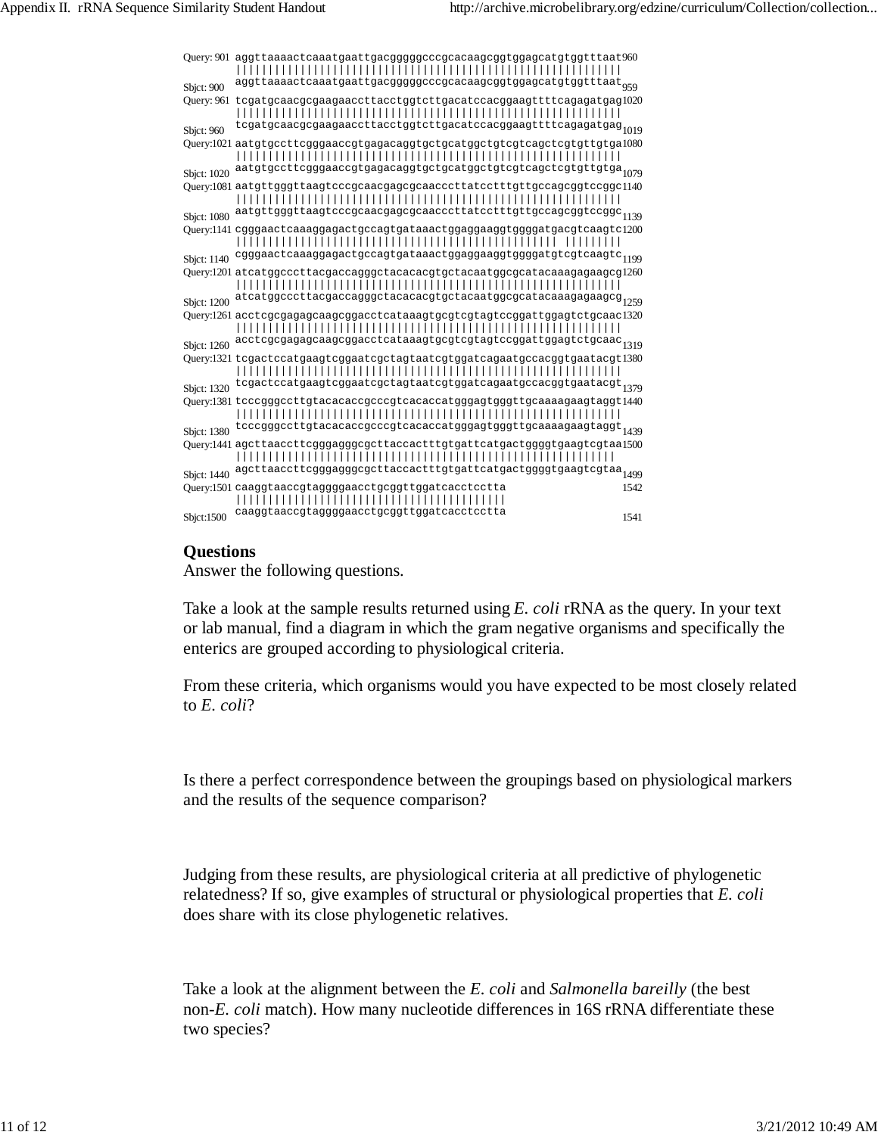|             | Query: 901 aggttaaaactcaaatgaattgacgggggcccgcacaagcggtggagcatgtggtttaat960                                                                                                                                             |      |
|-------------|------------------------------------------------------------------------------------------------------------------------------------------------------------------------------------------------------------------------|------|
| Sbjct: 900  | $\verb§aggttaaa@atca@atg@attgacgggggccc@caca@cggtggagcatdtggtttaat \substack{959}$                                                                                                                                     |      |
|             | Query: 961 tcgatgcaacgcgaagaaccttacctggtcttgacatccacggaagttttcagagatgag1020                                                                                                                                            |      |
| Sbjct: 960  | tcgatgcaacgcgaagaaccttacctggtcttgacatccacggaagttttcagagatgag <sub>1019</sub>                                                                                                                                           |      |
|             | Query:1021 aatgtgccttcgggaaccgtgagacaggtgctgcatggctgtcgtcagctcgtgttgtga1080                                                                                                                                            |      |
| Sbjct: 1020 | aatgtgccttcgggaaccgtgagacaggtgctgcatggctgtcgtcagctcgtgttgtga <sub>1079</sub>                                                                                                                                           |      |
|             | Query:1081 aatgttgggttaagtcccgcaacgagcgcaacccttatcctttgttgccagcggtccggc1140<br>${\tt a atgttgightaagtcccgeaacgaegcaacccttactttyttgccagcggtccggc}_{1139}$                                                               |      |
| Sbjct: 1080 |                                                                                                                                                                                                                        |      |
|             | Query:1141 cgggaactcaaaggagactgccagtgataaactggaggaaggtggggatgacgtcaagtc1200                                                                                                                                            |      |
|             | Sbjct: 1140 cgggaactcaaaggagactgccagtgataaactggaggaaggtggggatgtcgtcaagtc <sub>1199</sub>                                                                                                                               |      |
|             | Query:1201 atcatggcccttacgaccagggctacacacgtgctacaatggcgcatacaaagagaagcg1260<br>${\tt at category} coottac {g} a {c} a {g} g g {\tt c} t a {c} a {c} a {c} g t a {c} a {c} a {c} a {a} a {g} a {g} a {g} c {g} g} 1259$ |      |
| Sbjct: 1200 | Query:1261 acctcgcgagagcaagcggacctcataaagtgcgtcgtagtccggattggagtctgcaac1320                                                                                                                                            |      |
|             | ${\tt acctcgcggagcagcggacctcataaagtgcgtcgtagtccggattggagtctgcaac}_{1319}$                                                                                                                                              |      |
| Sbjct: 1260 | Query:1321 tcgactccatgaagtcggaatcgctagtaatcgtggatcagaatgccacggtgaatacgt1380                                                                                                                                            |      |
|             | Sbjct: 1320 tcgactccatgaagtcggaatcgctagtaatcgtggatcagaatgccacggtgaatacgt 1379                                                                                                                                          |      |
|             | Query:1381 tcccgggccttgtacacaccgcccgtcacaccatgggagtgggttgcaaaagaagtaggt1440                                                                                                                                            |      |
|             | $\verb tcccgggccttgt  \verb acacaccgcccgt  \verb cacaccatgggagtgggttgcaaaagaagtaggt  \verb 1439 $                                                                                                                      |      |
| Sbjct: 1380 |                                                                                                                                                                                                                        |      |
|             | Query:1441 agcttaaccttcgggagggcgcttaccactttgtgattcatgactggggtgaagtcgtaa1500                                                                                                                                            |      |
|             | Sbjct: 1440 agcttaaccttcgggagggcgcttaccactttgtgattcatgactggggtgaagtcgtaa <sub>1499</sub>                                                                                                                               |      |
|             | Query:1501 caaggtaaccgtaggggaacctgcggttggatcacctcctta                                                                                                                                                                  | 1542 |
| Sbjct:1500  | caaggtaaccgtaggggaacctgcggttggatcacctcctta                                                                                                                                                                             | 1541 |

### **Questions**

Answer the following questions.

Take a look at the sample results returned using *E. coli* rRNA as the query. In your text or lab manual, find a diagram in which the gram negative organisms and specifically the enterics are grouped according to physiological criteria.

From these criteria, which organisms would you have expected to be most closely related to *E. coli*?

Is there a perfect correspondence between the groupings based on physiological markers and the results of the sequence comparison?

Judging from these results, are physiological criteria at all predictive of phylogenetic relatedness? If so, give examples of structural or physiological properties that *E. coli* does share with its close phylogenetic relatives.

Take a look at the alignment between the *E. coli* and *Salmonella bareilly* (the best non-*E. coli* match). How many nucleotide differences in 16S rRNA differentiate these two species?